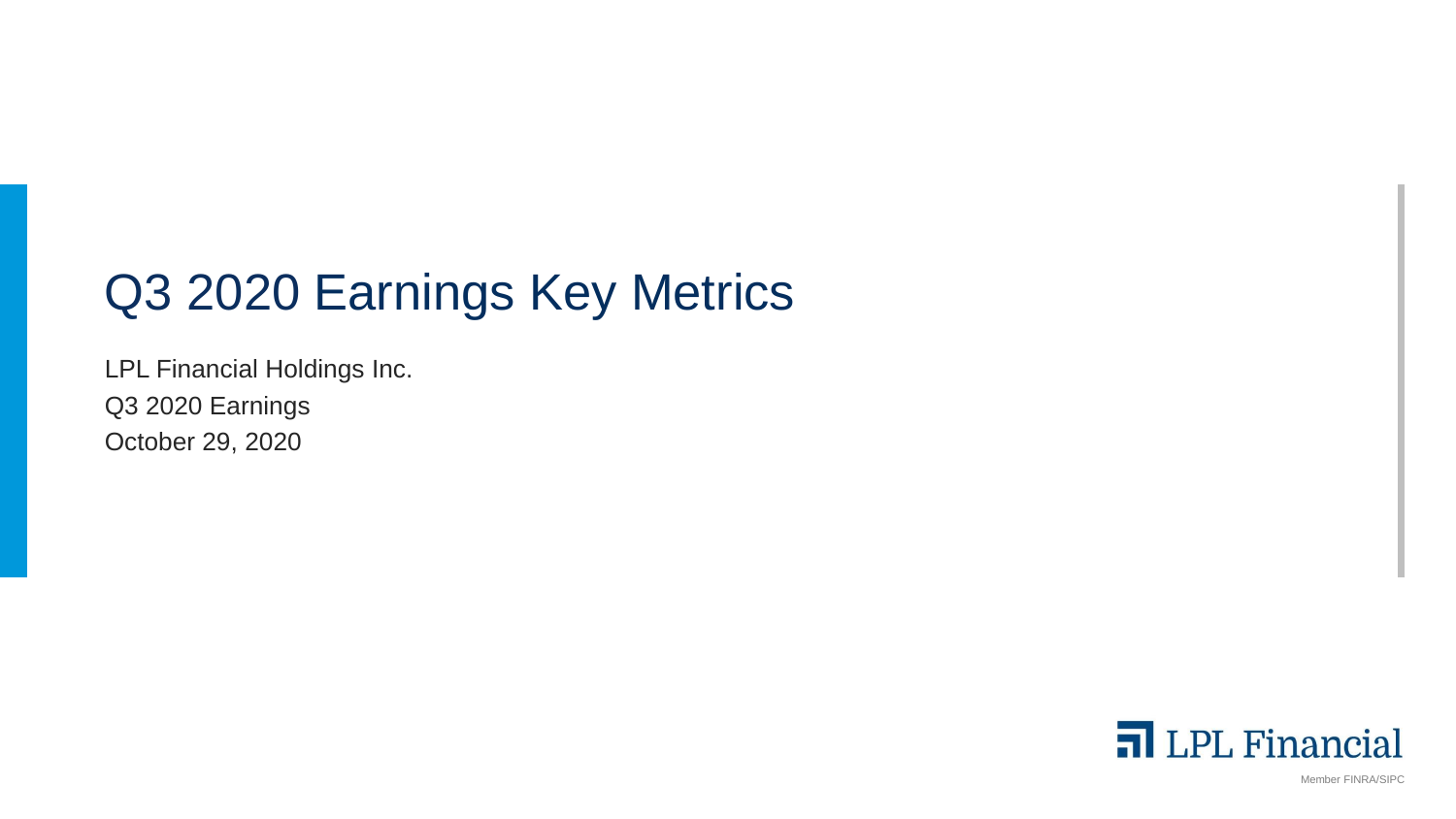# Q3 2020 Earnings Key Metrics

LPL Financial Holdings Inc. Q3 2020 Earnings October 29, 2020



Member FINRA/SIPC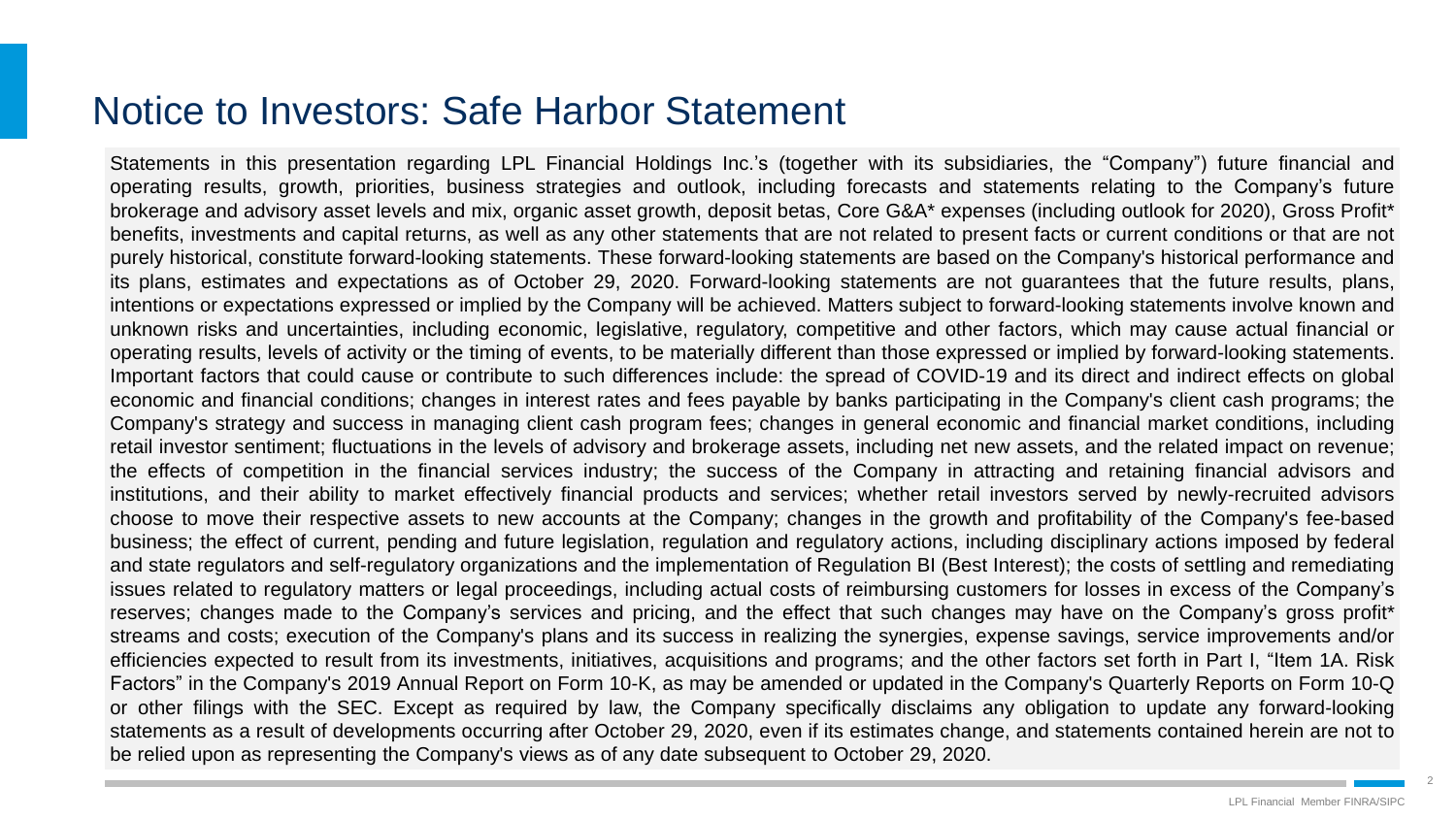### Notice to Investors: Safe Harbor Statement

Statements in this presentation regarding LPL Financial Holdings Inc.'s (together with its subsidiaries, the "Company") future financial and operating results, growth, priorities, business strategies and outlook, including forecasts and statements relating to the Company's future brokerage and advisory asset levels and mix, organic asset growth, deposit betas, Core G&A\* expenses (including outlook for 2020), Gross Profit\* benefits, investments and capital returns, as well as any other statements that are not related to present facts or current conditions or that are not purely historical, constitute forward-looking statements. These forward-looking statements are based on the Company's historical performance and its plans, estimates and expectations as of October 29, 2020. Forward-looking statements are not guarantees that the future results, plans, intentions or expectations expressed or implied by the Company will be achieved. Matters subject to forward-looking statements involve known and unknown risks and uncertainties, including economic, legislative, regulatory, competitive and other factors, which may cause actual financial or operating results, levels of activity or the timing of events, to be materially different than those expressed or implied by forward-looking statements. Important factors that could cause or contribute to such differences include: the spread of COVID-19 and its direct and indirect effects on global economic and financial conditions; changes in interest rates and fees payable by banks participating in the Company's client cash programs; the Company's strategy and success in managing client cash program fees; changes in general economic and financial market conditions, including retail investor sentiment; fluctuations in the levels of advisory and brokerage assets, including net new assets, and the related impact on revenue; the effects of competition in the financial services industry; the success of the Company in attracting and retaining financial advisors and institutions, and their ability to market effectively financial products and services; whether retail investors served by newly-recruited advisors choose to move their respective assets to new accounts at the Company; changes in the growth and profitability of the Company's fee-based business; the effect of current, pending and future legislation, regulation and regulatory actions, including disciplinary actions imposed by federal and state regulators and self-regulatory organizations and the implementation of Regulation BI (Best Interest); the costs of settling and remediating issues related to regulatory matters or legal proceedings, including actual costs of reimbursing customers for losses in excess of the Company's reserves; changes made to the Company's services and pricing, and the effect that such changes may have on the Company's gross profit\* streams and costs; execution of the Company's plans and its success in realizing the synergies, expense savings, service improvements and/or efficiencies expected to result from its investments, initiatives, acquisitions and programs; and the other factors set forth in Part I, "Item 1A. Risk Factors" in the Company's 2019 Annual Report on Form 10-K, as may be amended or updated in the Company's Quarterly Reports on Form 10-Q or other filings with the SEC. Except as required by law, the Company specifically disclaims any obligation to update any forward-looking statements as a result of developments occurring after October 29, 2020, even if its estimates change, and statements contained herein are not to be relied upon as representing the Company's views as of any date subsequent to October 29, 2020.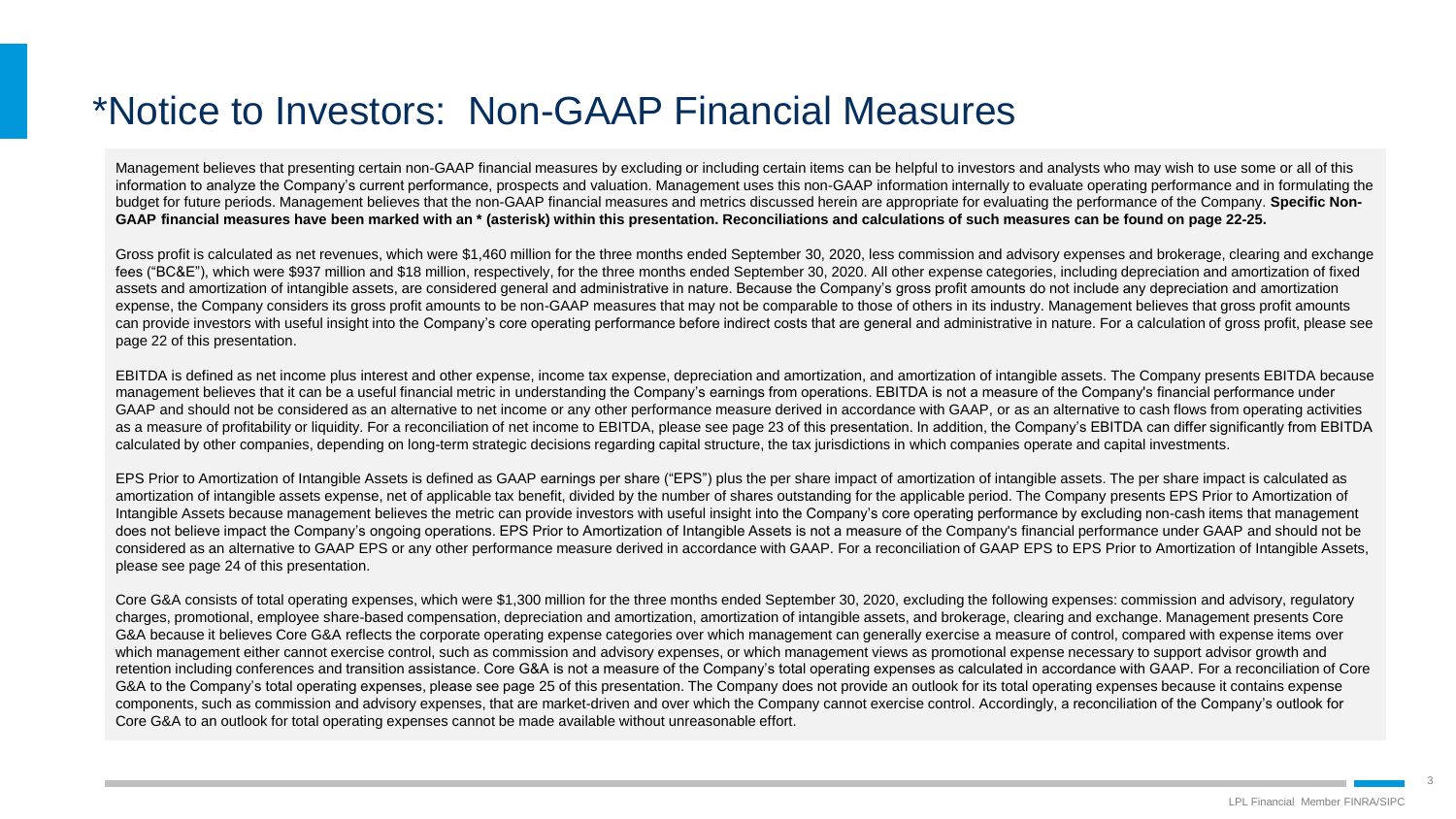# \*Notice to Investors: Non-GAAP Financial Measures

Management believes that presenting certain non-GAAP financial measures by excluding or including certain items can be helpful to investors and analysts who may wish to use some or all of this information to analyze the Company's current performance, prospects and valuation. Management uses this non-GAAP information internally to evaluate operating performance and in formulating the budget for future periods. Management believes that the non-GAAP financial measures and metrics discussed herein are appropriate for evaluating the performance of the Company. **Specific Non-GAAP financial measures have been marked with an \* (asterisk) within this presentation. Reconciliations and calculations of such measures can be found on page 22-25.**

Gross profit is calculated as net revenues, which were \$1,460 million for the three months ended September 30, 2020, less commission and advisory expenses and brokerage, clearing and exchange fees ("BC&E"), which were \$937 million and \$18 million, respectively, for the three months ended September 30, 2020. All other expense categories, including depreciation and amortization of fixed assets and amortization of intangible assets, are considered general and administrative in nature. Because the Company's gross profit amounts do not include any depreciation and amortization expense, the Company considers its gross profit amounts to be non-GAAP measures that may not be comparable to those of others in its industry. Management believes that gross profit amounts can provide investors with useful insight into the Company's core operating performance before indirect costs that are general and administrative in nature. For a calculation of gross profit, please see page 22 of this presentation.

EBITDA is defined as net income plus interest and other expense, income tax expense, depreciation and amortization, and amortization of intangible assets. The Company presents EBITDA because management believes that it can be a useful financial metric in understanding the Company's earnings from operations. EBITDA is not a measure of the Company's financial performance under GAAP and should not be considered as an alternative to net income or any other performance measure derived in accordance with GAAP, or as an alternative to cash flows from operating activities as a measure of profitability or liquidity. For a reconciliation of net income to EBITDA, please see page 23 of this presentation. In addition, the Company's EBITDA can differ significantly from EBITDA calculated by other companies, depending on long-term strategic decisions regarding capital structure, the tax jurisdictions in which companies operate and capital investments.

EPS Prior to Amortization of Intangible Assets is defined as GAAP earnings per share ("EPS") plus the per share impact of amortization of intangible assets. The per share impact is calculated as amortization of intangible assets expense, net of applicable tax benefit, divided by the number of shares outstanding for the applicable period. The Company presents EPS Prior to Amortization of Intangible Assets because management believes the metric can provide investors with useful insight into the Company's core operating performance by excluding non-cash items that management does not believe impact the Company's ongoing operations. EPS Prior to Amortization of Intangible Assets is not a measure of the Company's financial performance under GAAP and should not be considered as an alternative to GAAP EPS or any other performance measure derived in accordance with GAAP. For a reconciliation of GAAP EPS to EPS Prior to Amortization of Intangible Assets, please see page 24 of this presentation.

Core G&A consists of total operating expenses, which were \$1,300 million for the three months ended September 30, 2020, excluding the following expenses: commission and advisory, regulatory charges, promotional, employee share-based compensation, depreciation and amortization, amortization of intangible assets, and brokerage, clearing and exchange. Management presents Core G&A because it believes Core G&A reflects the corporate operating expense categories over which management can generally exercise a measure of control, compared with expense items over which management either cannot exercise control, such as commission and advisory expenses, or which management views as promotional expense necessary to support advisor growth and retention including conferences and transition assistance. Core G&A is not a measure of the Company's total operating expenses as calculated in accordance with GAAP. For a reconciliation of Core G&A to the Company's total operating expenses, please see page 25 of this presentation. The Company does not provide an outlook for its total operating expenses because it contains expense components, such as commission and advisory expenses, that are market-driven and over which the Company cannot exercise control. Accordingly, a reconciliation of the Company's outlook for Core G&A to an outlook for total operating expenses cannot be made available without unreasonable effort.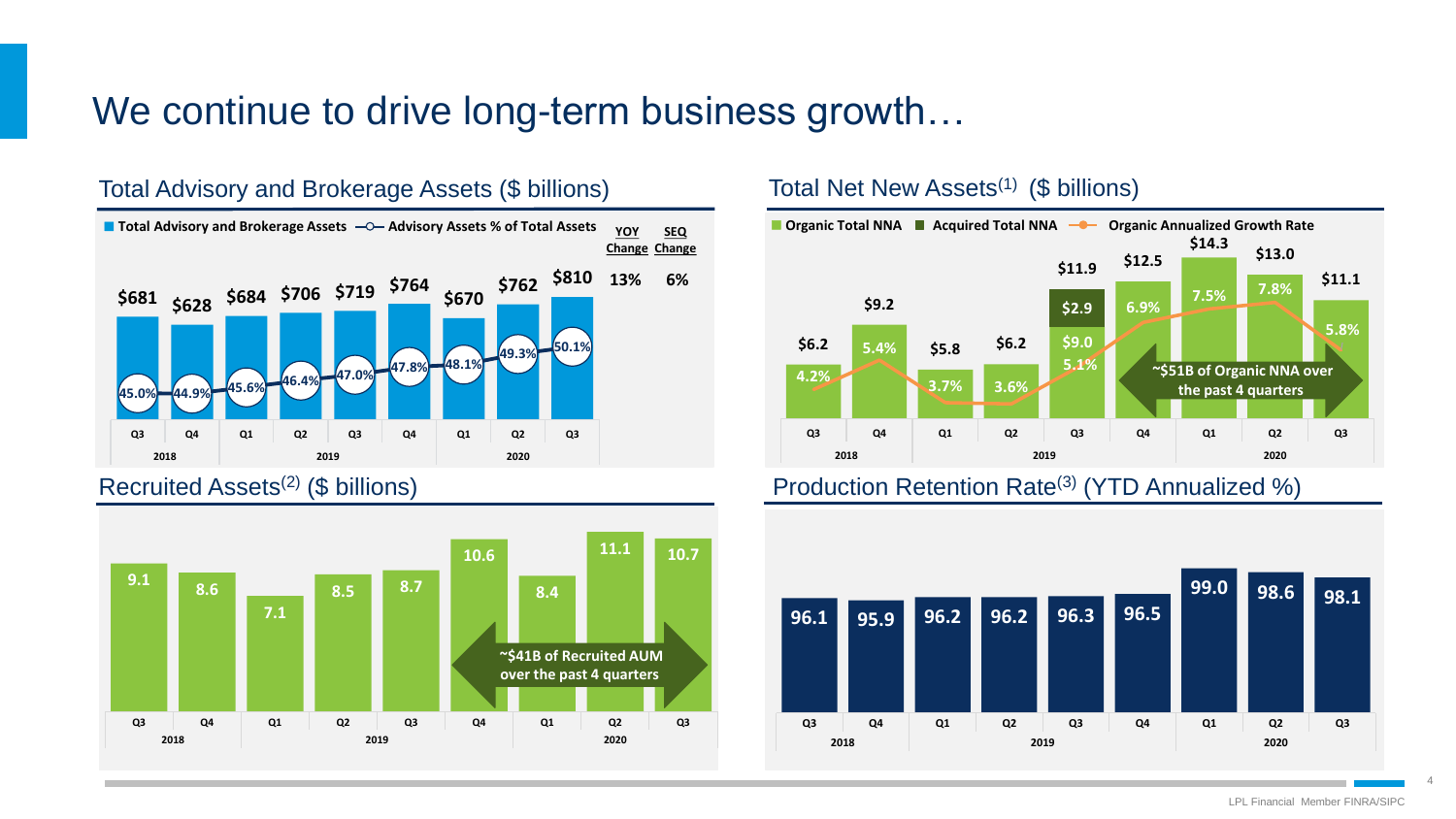### We continue to drive long-term business growth...



### Total Advisory and Brokerage Assets (\$ billions)





### Total Net New Assets<sup>(1)</sup> (\$ billions)



### Recruited Assets<sup>(2)</sup> (\$ billions) **Production Retention Rate<sup>(3)</sup> (YTD Annualized %)**



LPL Financial Member FINRA/SIPC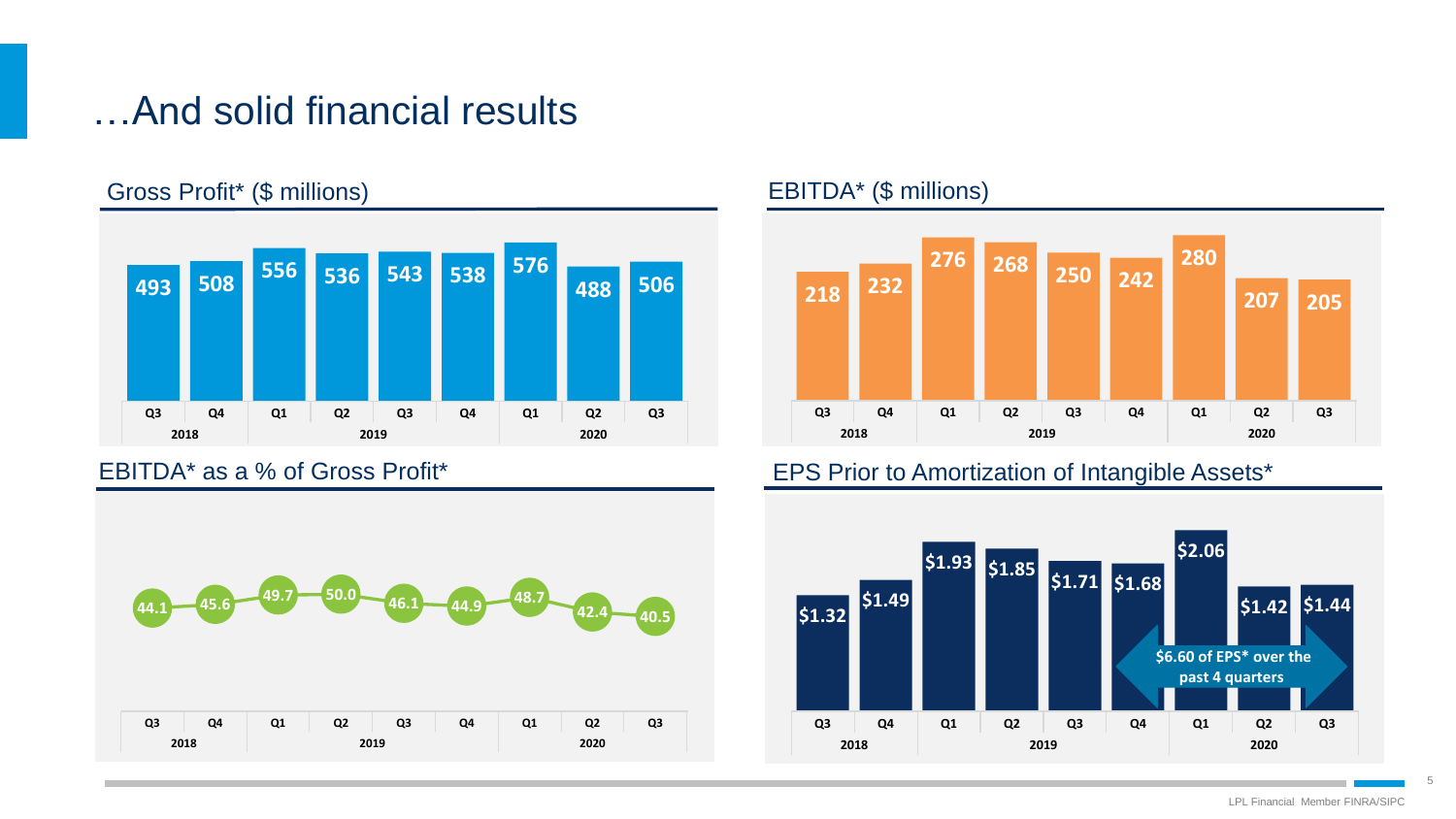## …And solid financial results

### Gross Profit\* (\$ millions) EBITDA\* (\$ millions)







### EBITDA\* as a % of Gross Profit\* The Control of Amortization of Intangible Assets\*

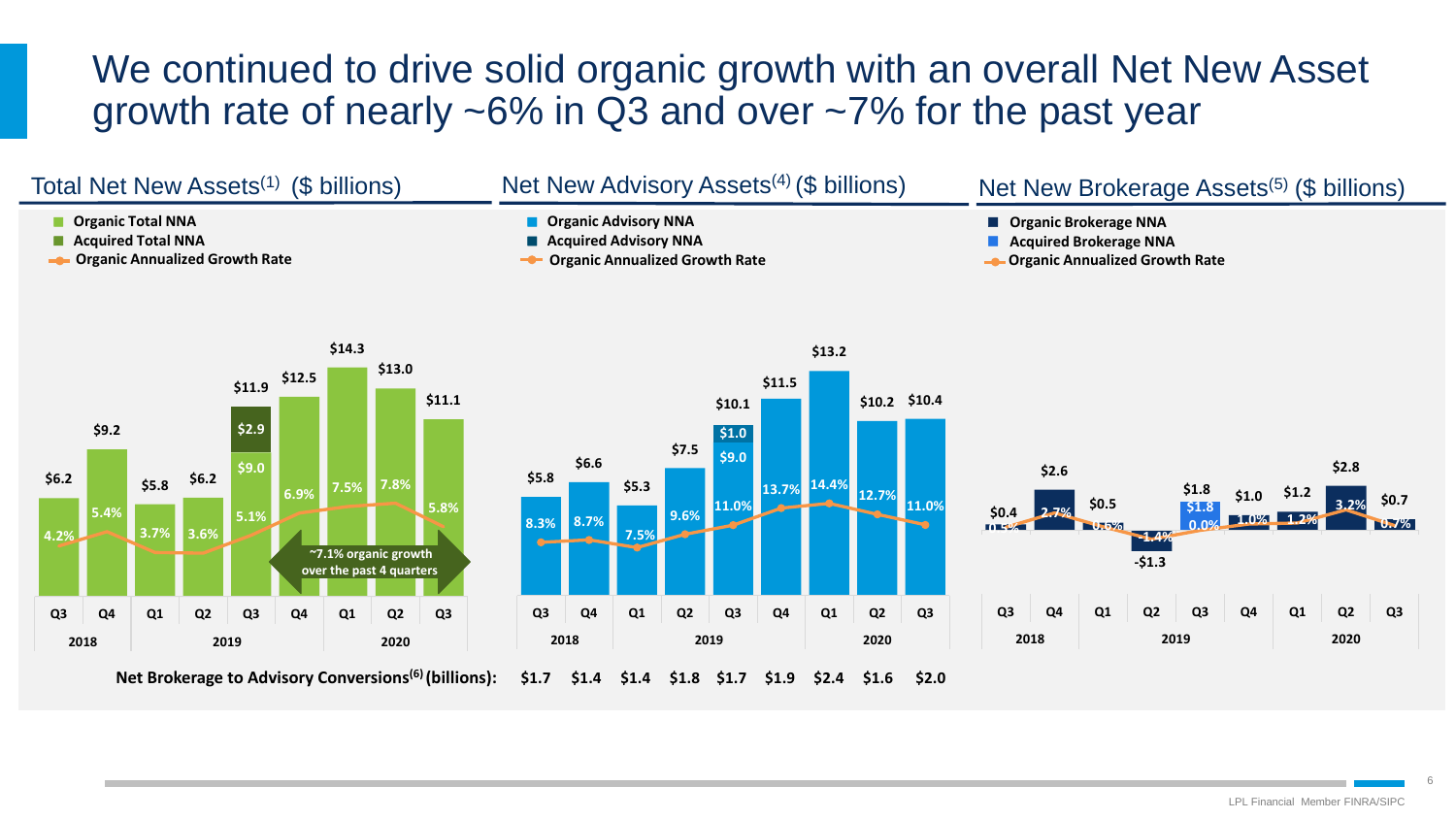## We continued to drive solid organic growth with an overall Net New Asset growth rate of nearly ~6% in Q3 and over ~7% for the past year

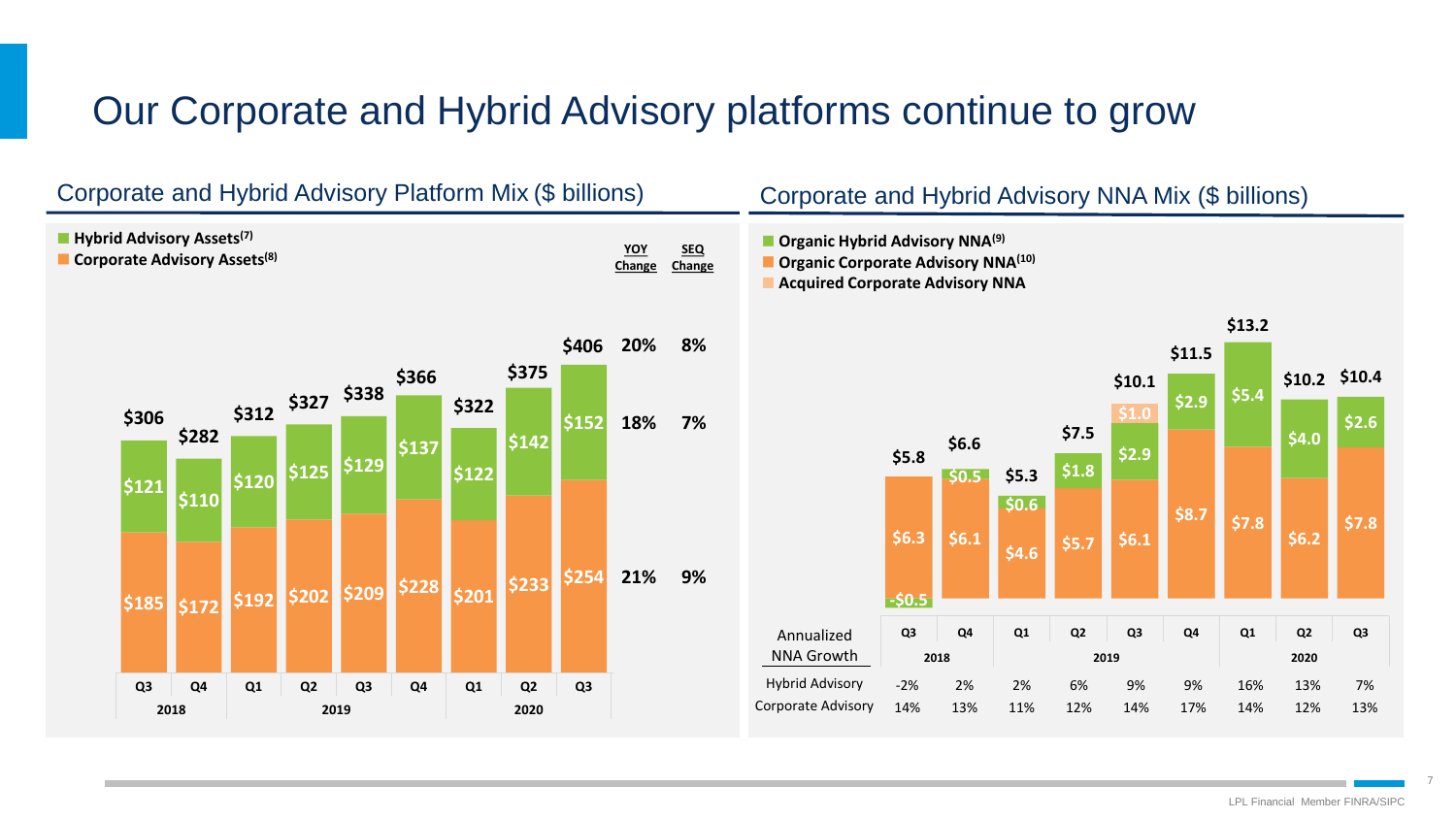# Our Corporate and Hybrid Advisory platforms continue to grow

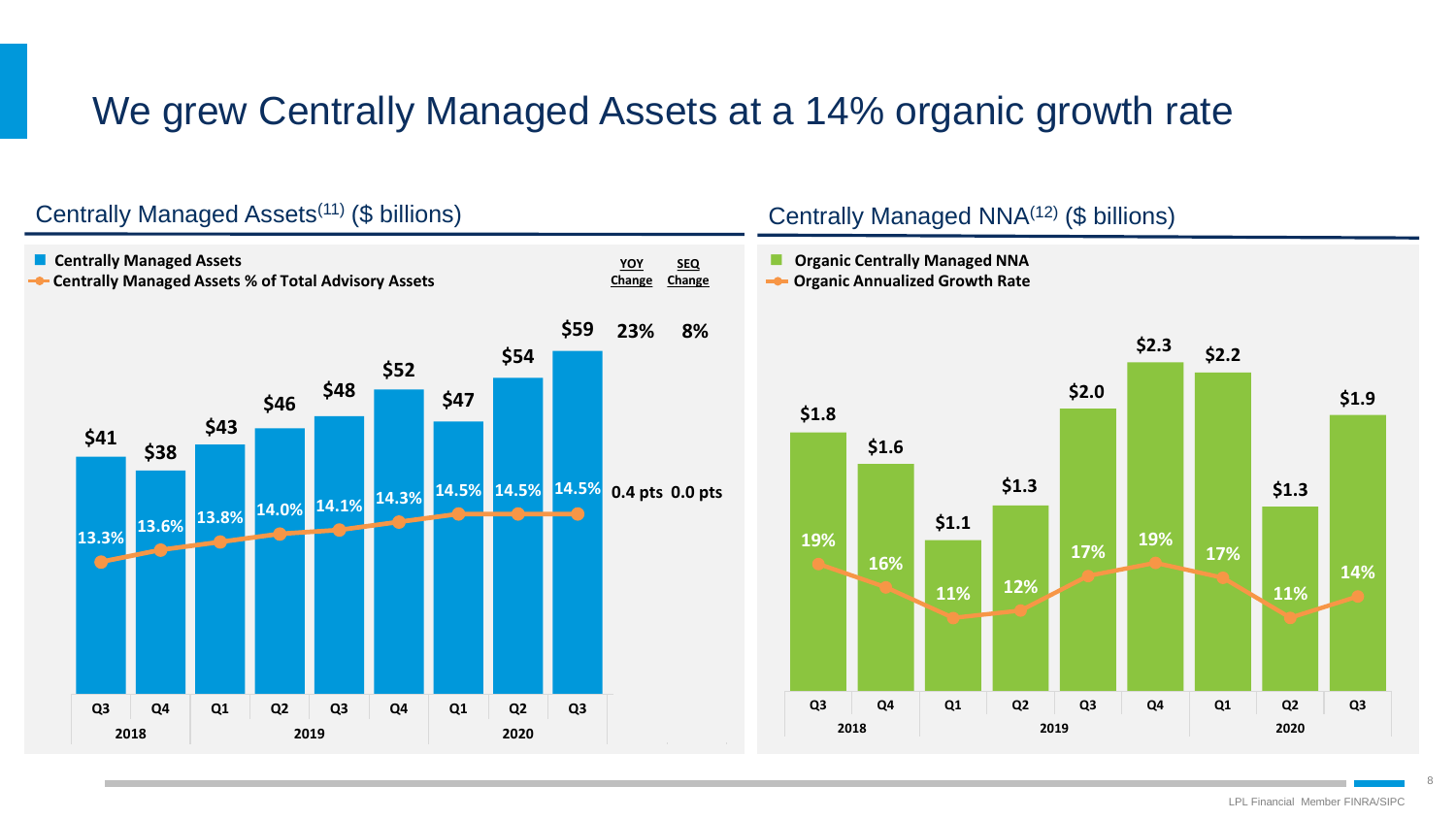# We grew Centrally Managed Assets at a 14% organic growth rate



### Centrally Managed Assets(11) (\$ billions)

### Centrally Managed NNA(12) (\$ billions)

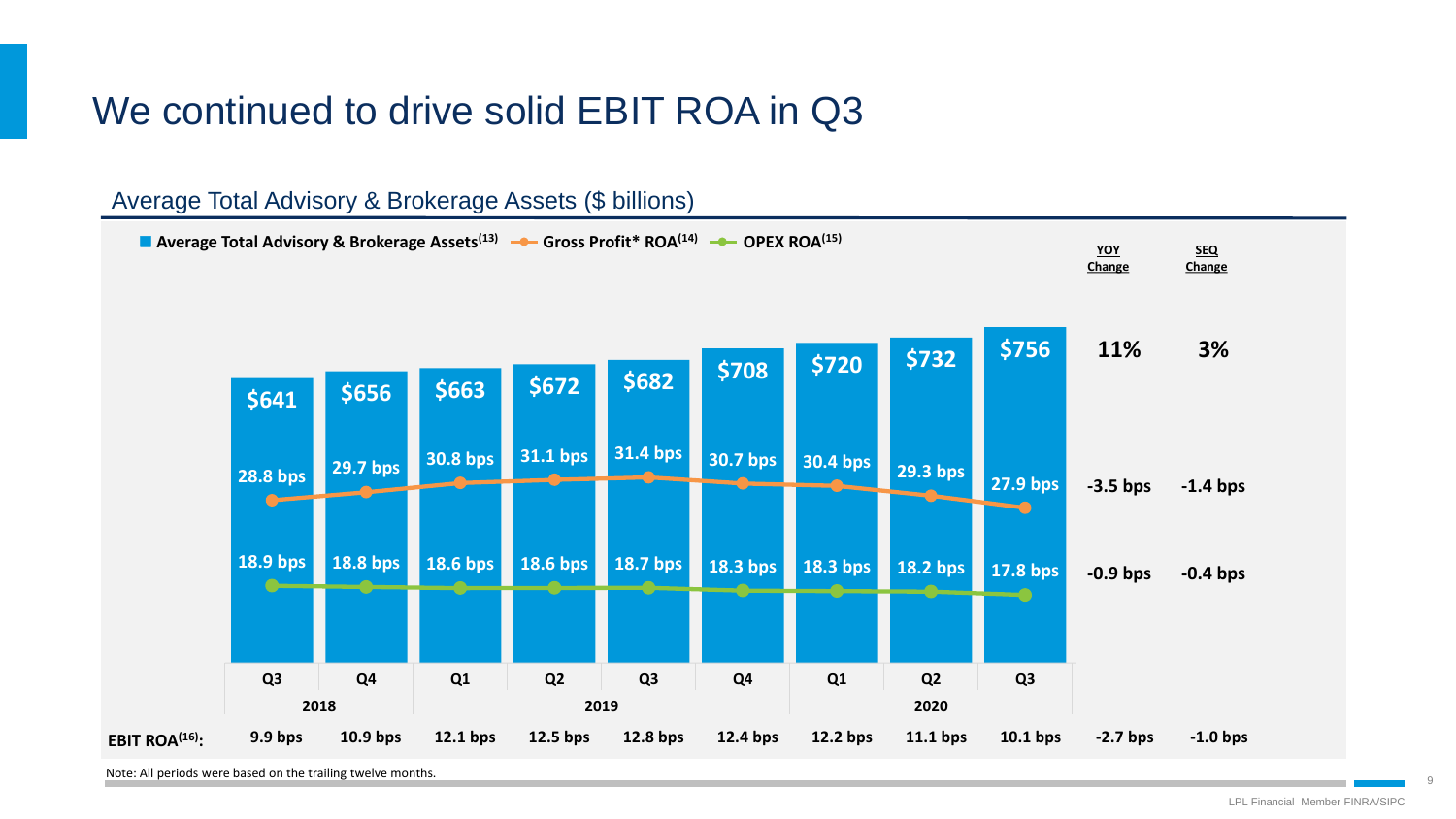# We continued to drive solid EBIT ROA in Q3



Note: All periods were based on the trailing twelve months.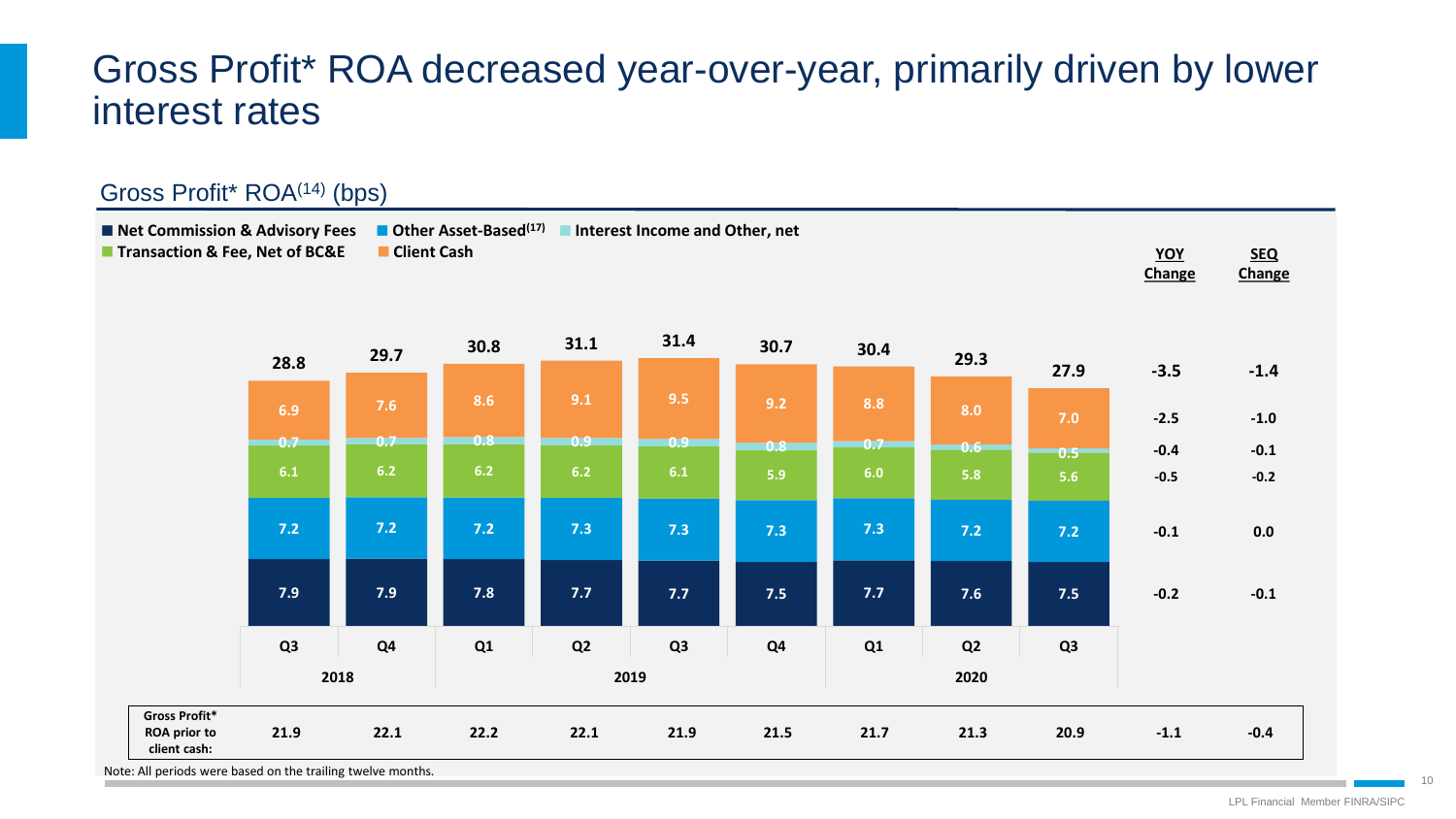## Gross Profit\* ROA decreased year-over-year, primarily driven by lower interest rates

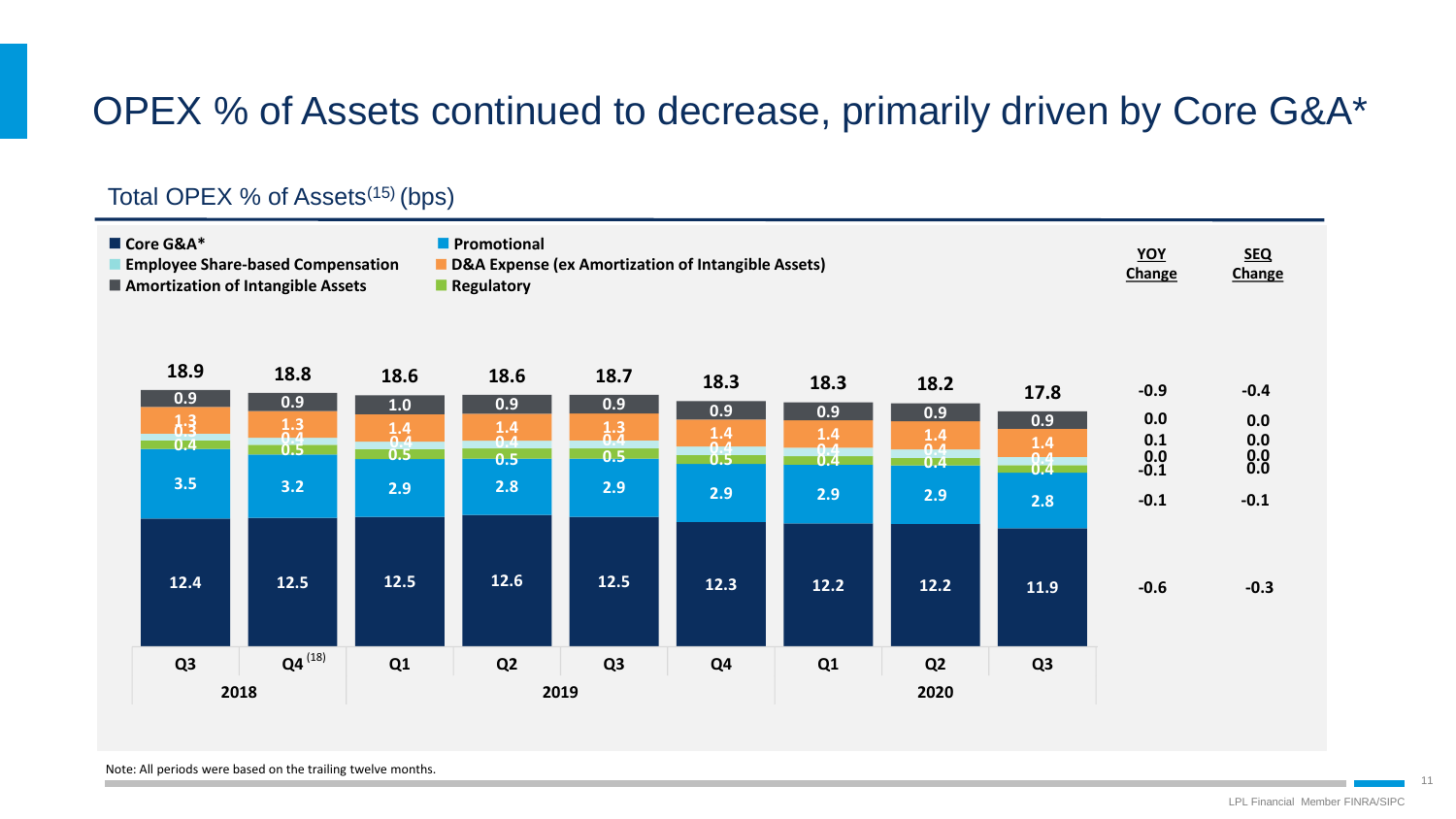# OPEX % of Assets continued to decrease, primarily driven by Core G&A\*

### Total OPEX % of Assets<sup>(15)</sup> (bps)

| ■ Core G&A*<br><b>Employee Share-based Compensation</b><br>■ Amortization of Intangible Assets |                                                 |                                                |                                                             | <b>Promotional</b><br>D&A Expense (ex Amortization of Intangible Assets)<br><b>Regulatory</b> | YOY<br>Change                                  | <b>SEQ</b><br>Change                               |                                           |                                                |                                    |                                               |                                                |
|------------------------------------------------------------------------------------------------|-------------------------------------------------|------------------------------------------------|-------------------------------------------------------------|-----------------------------------------------------------------------------------------------|------------------------------------------------|----------------------------------------------------|-------------------------------------------|------------------------------------------------|------------------------------------|-----------------------------------------------|------------------------------------------------|
|                                                                                                | 18.9<br>0.9<br>$1.3$<br>$\overline{0.4}$<br>3.5 | 18.8<br>0.9<br>$\frac{1.3}{0.4}$<br>0.5<br>3.2 | 18.6<br>1.0<br>$\frac{1.4}{0.4}$<br>0.5 <sub>1</sub><br>2.9 | 18.6<br>0.9<br>$\frac{1.4}{0.4}$<br>0.5<br>2.8                                                | 18.7<br>0.9<br>$\frac{1.3}{0.4}$<br>0.5<br>2.9 | 18.3<br>0.9<br>$1.4$<br>$\mathbf{A}$<br>0.5<br>2.9 | 18.3<br>0.9<br>$1.4$<br>0.4<br>0.4<br>2.9 | 18.2<br>0.9<br>$\frac{1.4}{0.4}$<br>0.4<br>2.9 | 17.8<br>0.9<br>$1.4$<br>8:4<br>2.8 | $-0.9$<br>0.0<br>0.1<br>$0.0 - 0.1$<br>$-0.1$ | $-0.4$<br>0.0<br>0.0<br>$0.0 \\ 0.0$<br>$-0.1$ |
|                                                                                                | 12.4                                            | 12.5                                           | $12.5$                                                      | 12.6                                                                                          | $12.5$                                         | 12.3                                               | $12.2$                                    | $12.2$                                         | 11.9                               | $-0.6$                                        | $-0.3$                                         |
|                                                                                                | Q <sub>3</sub>                                  | $Q4^{(18)}$<br>2018                            | Q1                                                          | Q <sub>2</sub>                                                                                | Q <sub>3</sub><br>2019                         | Q <sub>4</sub>                                     | Q1                                        | Q <sub>2</sub><br>2020                         | Q <sub>3</sub>                     |                                               |                                                |

Note: All periods were based on the trailing twelve months.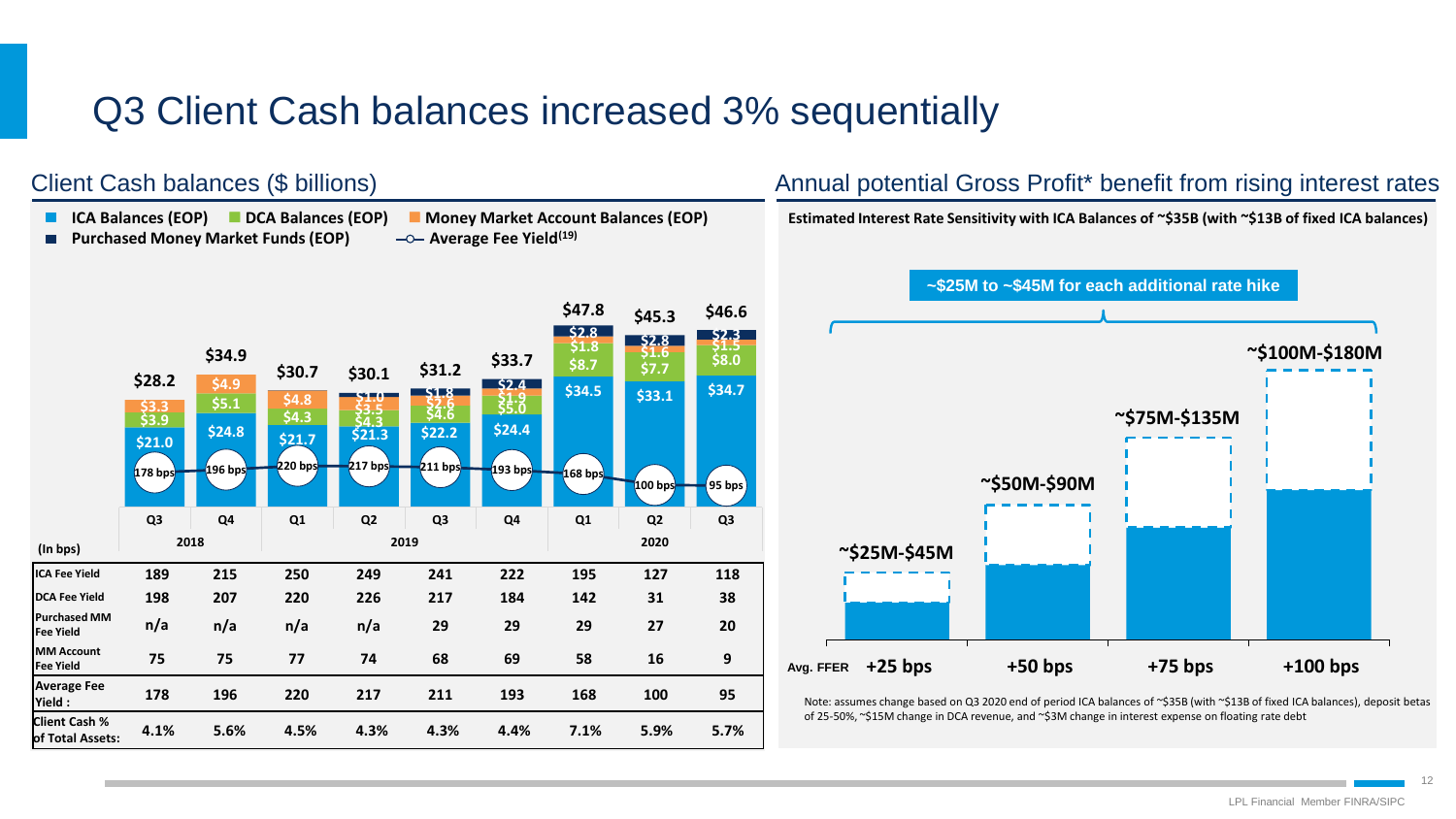# Q3 Client Cash balances increased 3% sequentially

### **ICA Balances (EOP) DCA Balances (EOP) Money Market Account Balances (EOP) Purchased Money Market Funds (EOP)**  $\longrightarrow$  **Average Fee Yield<sup>(19)</sup>**  $\blacksquare$ **\$47.8 \$45.3 \$46.6 \$2.8 \$2.8 \$2.3**  $\frac{1}{21.8}$   $\frac{1}{21.6}$   $\frac{51.5}{32.0}$ **\$34.9**  $\begin{array}{|c|c|c|c|c|} \hline \text{58.7} & \text{51.6} & \text{58.0} \\ \hline \end{array}$ **\$30.7 \$30.1 \$31.2 \$33.7**  $\begin{array}{cccc} $30.1 & $531.2 \ & & - & - & \end{array}$ **\$28.2 \$4.9 \$34.5 \$33.1 \$34.7 \$4.8 \$3.5 \$2.6 \$1.9 \$5.1 \$3.3 \$4.3 \$4.3 \$4.6 \$5.0 \$3.9 \$21.0 \$24.8 \$21.7 \$21.3 \$22.2 \$24.4 178 bps 196 bps 220 bps 217 bps 211 bps 193 bps 168 bps 100 bps 95 bps Q3 Q4 Q1 Q2 Q3 Q4 Q1 Q2 Q3 2018 2019 2020 (In bps) ICA Fee Yield 189 215 250 249 241 222 195 127 118 DCA Fee Yield 198 207 220 226 217 184 142 31 38 Purchased MM Fee Yield n/a n/a n/a n/a 29 29 29 27 20 MM Account Fee Yield 75 75 77 74 68 69 58 16 9 Average Fee 178 196 220 217 211 193 168 100 95 Yield : Client Cash % of Total Assets: 4.1% 5.6% 4.5% 4.3% 4.3% 4.4% 7.1% 5.9% 5.7%**

Client Cash balances (\$ billions)

### Annual potential Gross Profit\* benefit from rising interest rates

**Estimated Interest Rate Sensitivity with ICA Balances of ~\$35B (with ~\$13B of fixed ICA balances)**



Note: assumes change based on Q3 2020 end of period ICA balances of ~\$35B (with ~\$13B of fixed ICA balances), deposit betas of 25-50%, ~\$15M change in DCA revenue, and ~\$3M change in interest expense on floating rate debt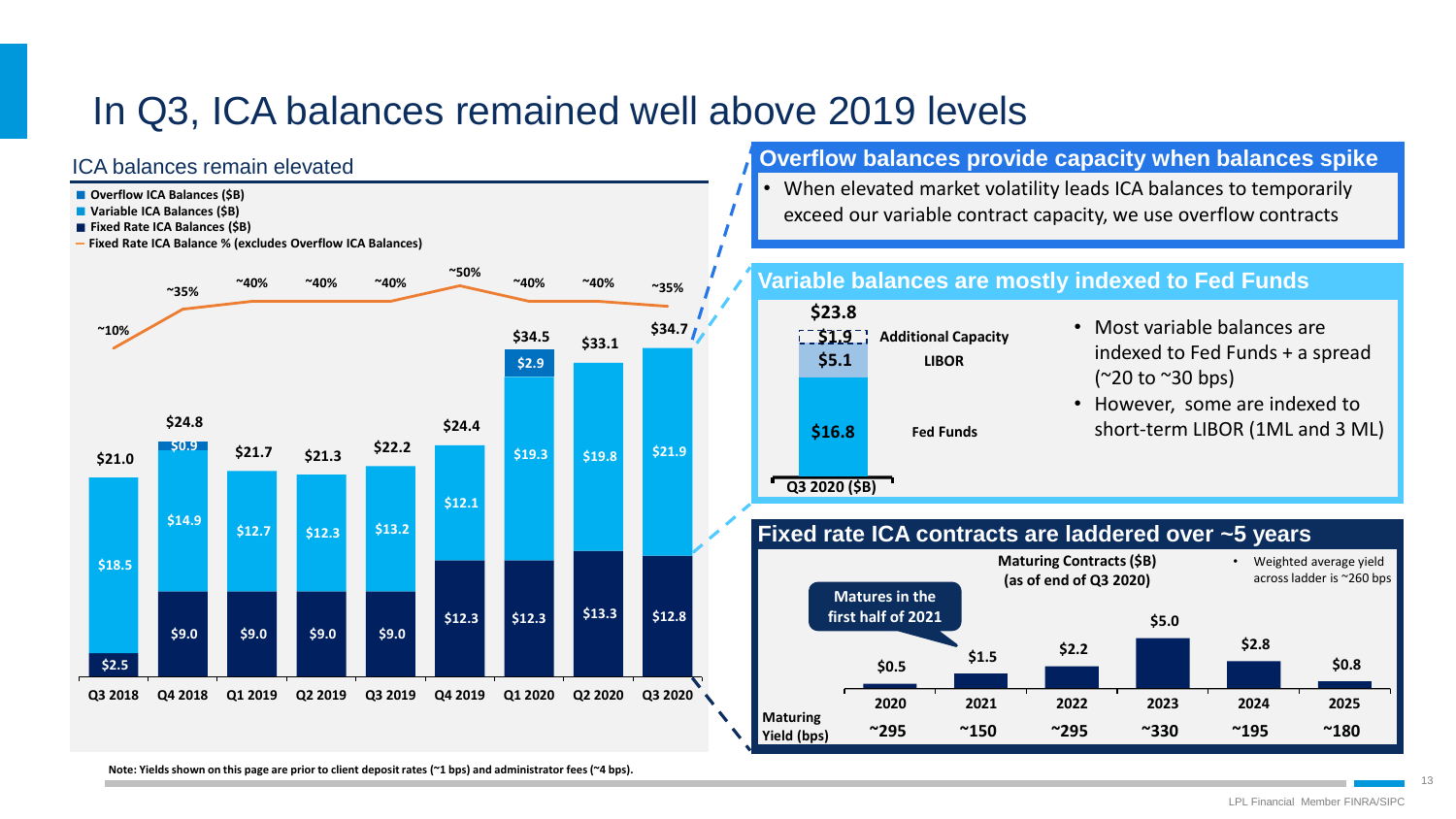# In Q3, ICA balances remained well above 2019 levels

### ICA balances remain elevated



- **Variable ICA Balances (\$B)**
- **Fixed Rate ICA Balances (\$B)**
- **Fixed Rate ICA Balance % (excludes Overflow ICA Balances)**



### **Overflow balances provide capacity when balances spike**

• When elevated market volatility leads ICA balances to temporarily exceed our variable contract capacity, we use overflow contracts



### **Variable balances are mostly indexed to Fed Funds**

- Most variable balances are indexed to Fed Funds + a spread (~20 to ~30 bps)
- However, some are indexed to short-term LIBOR (1ML and 3 ML)

### **Fixed rate ICA contracts are laddered over ~5 years Q3 2020**



**Note: Yields shown on this page are prior to client deposit rates (~1 bps) and administrator fees (~4 bps).**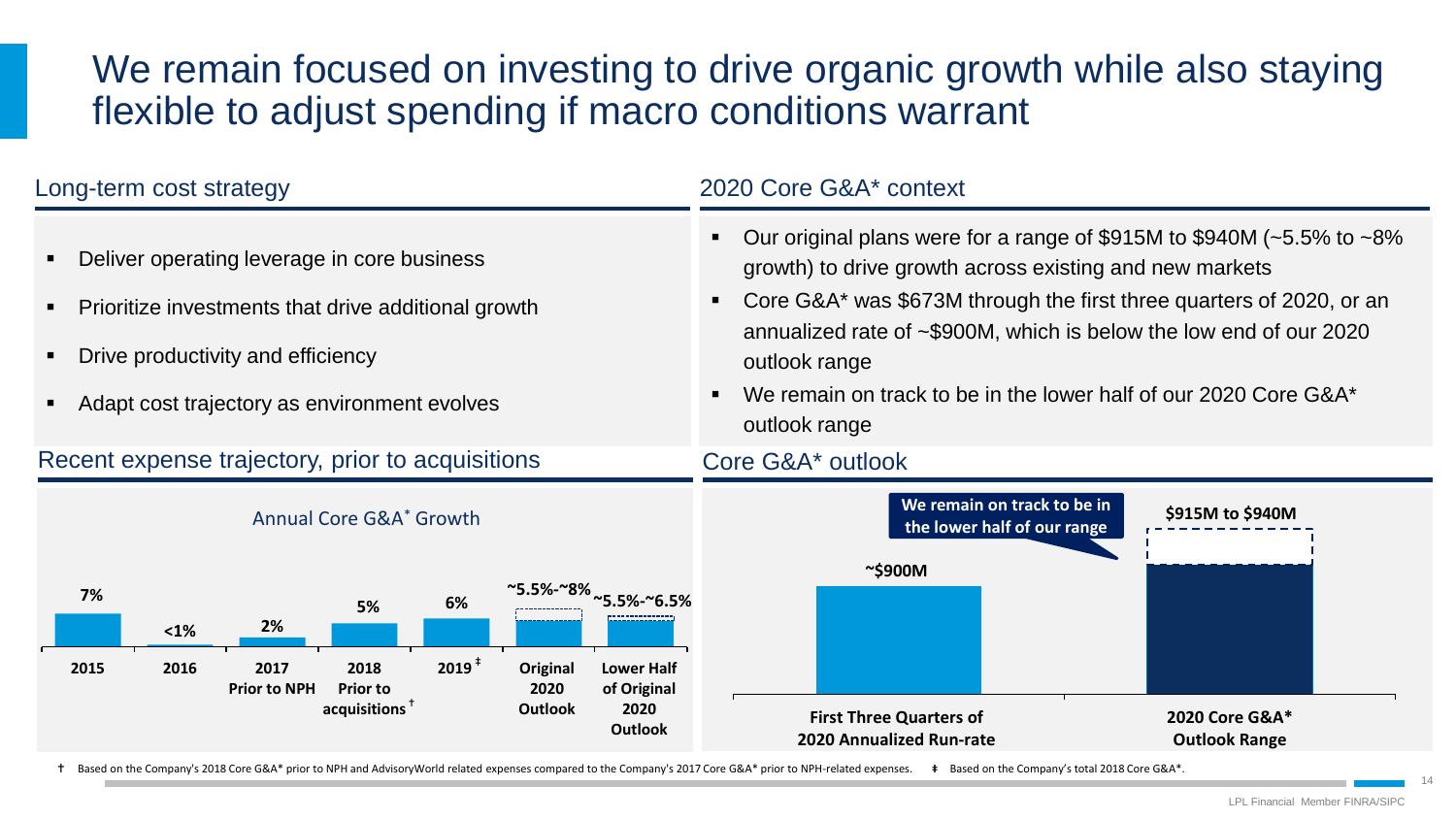# We remain focused on investing to drive organic growth while also staying flexible to adjust spending if macro conditions warrant

| Long-term cost strategy                                                                                                                                                                                                                                                                                                  | 2020 Core G&A* context                                                                                                                                                                                                                                                                                                                                                                                  |  |  |  |  |
|--------------------------------------------------------------------------------------------------------------------------------------------------------------------------------------------------------------------------------------------------------------------------------------------------------------------------|---------------------------------------------------------------------------------------------------------------------------------------------------------------------------------------------------------------------------------------------------------------------------------------------------------------------------------------------------------------------------------------------------------|--|--|--|--|
| Deliver operating leverage in core business<br>Prioritize investments that drive additional growth<br>Drive productivity and efficiency<br>Adapt cost trajectory as environment evolves                                                                                                                                  | Our original plans were for a range of \$915M to \$940M ( $\approx$ 5.5% to $\approx$ 8%<br>growth) to drive growth across existing and new markets<br>Core G&A* was \$673M through the first three quarters of 2020, or an<br>annualized rate of ~\$900M, which is below the low end of our 2020<br>outlook range<br>We remain on track to be in the lower half of our 2020 Core G&A*<br>outlook range |  |  |  |  |
| Recent expense trajectory, prior to acquisitions                                                                                                                                                                                                                                                                         | Core G&A* outlook                                                                                                                                                                                                                                                                                                                                                                                       |  |  |  |  |
| Annual Core G&A <sup>*</sup> Growth                                                                                                                                                                                                                                                                                      | We remain on track to be in<br>\$915M to \$940M<br>the lower half of our range                                                                                                                                                                                                                                                                                                                          |  |  |  |  |
| ~5.5%-~8% $\scriptstyle\sim$ 5.5%-~6.5%<br>7%<br>6%<br>5%<br>2%<br>$1%$<br>$2019$ <sup>+</sup><br>2017<br>Original<br><b>Lower Half</b><br>2015<br>2016<br>2018<br><b>Prior to NPH</b><br><b>Prior to</b><br>2020<br>of Original<br>$acquisitions$ <sup><math>†</math></sup><br><b>Outlook</b><br>2020<br><b>Outlook</b> | $\sim$ \$900M<br><b>First Three Quarters of</b><br>2020 Core G&A*<br><b>2020 Annualized Run-rate</b><br><b>Outlook Range</b>                                                                                                                                                                                                                                                                            |  |  |  |  |

Based on the Company's 2018 Core G&A\* prior to NPH and AdvisoryWorld related expenses compared to the Company's 2017 Core G&A\* prior to NPH-related expenses. Based on the Company's total 2018 Core G&A\*.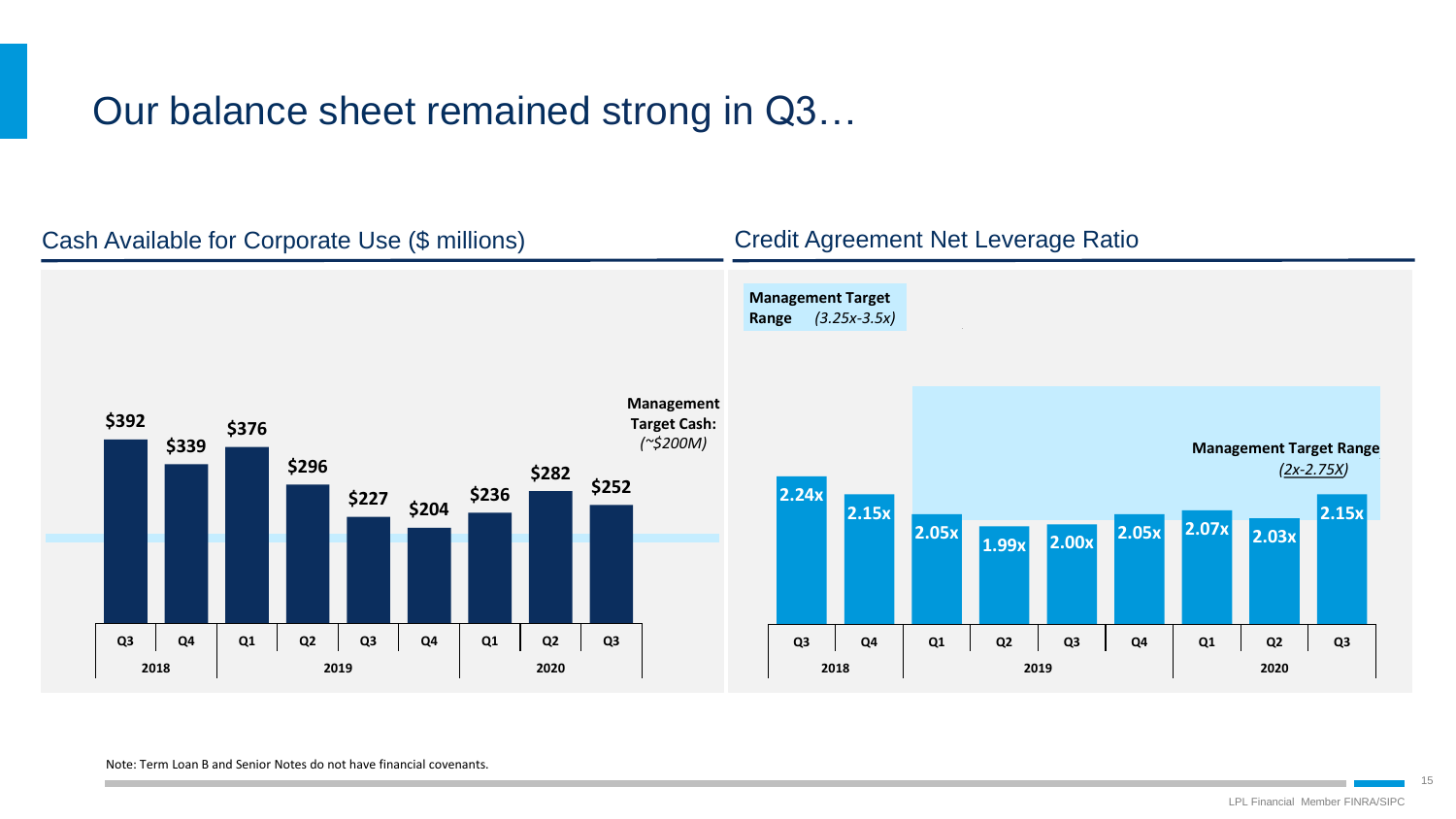# Our balance sheet remained strong in Q3…



### Note: Term Loan B and Senior Notes do not have financial covenants.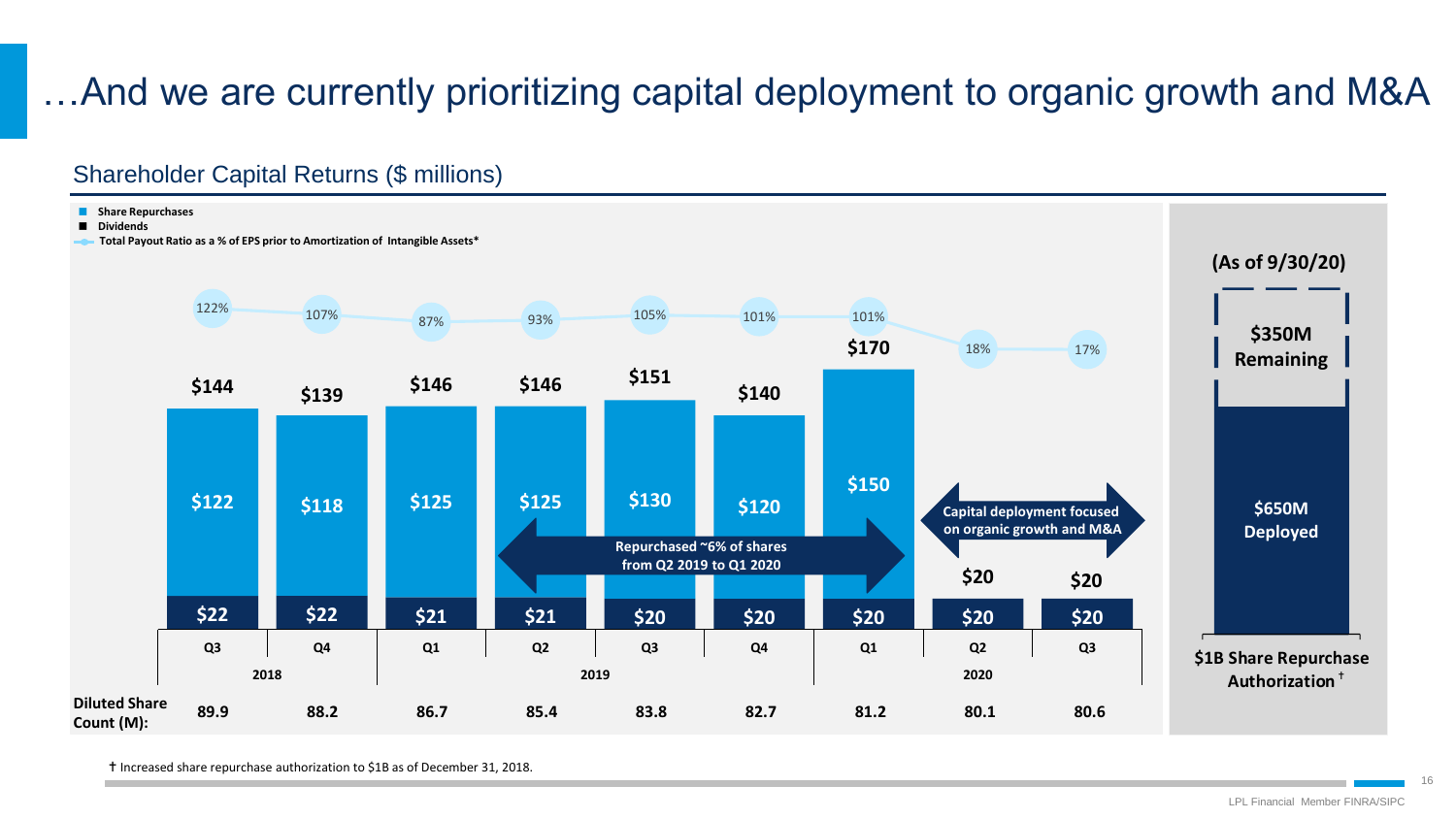# …And we are currently prioritizing capital deployment to organic growth and M&A

### Shareholder Capital Returns (\$ millions)



Increased share repurchase authorization to \$1B as of December 31, 2018.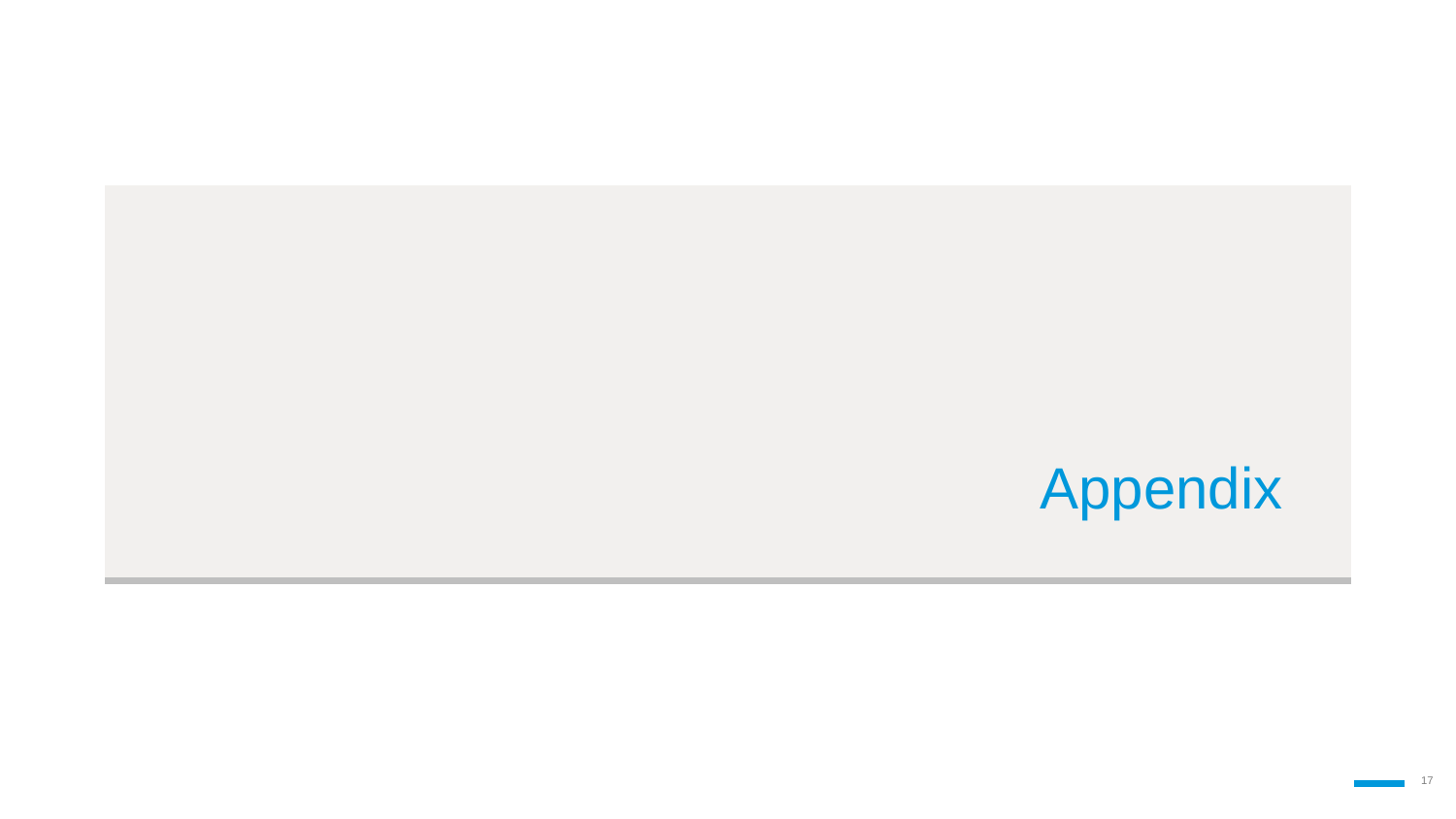# Appendix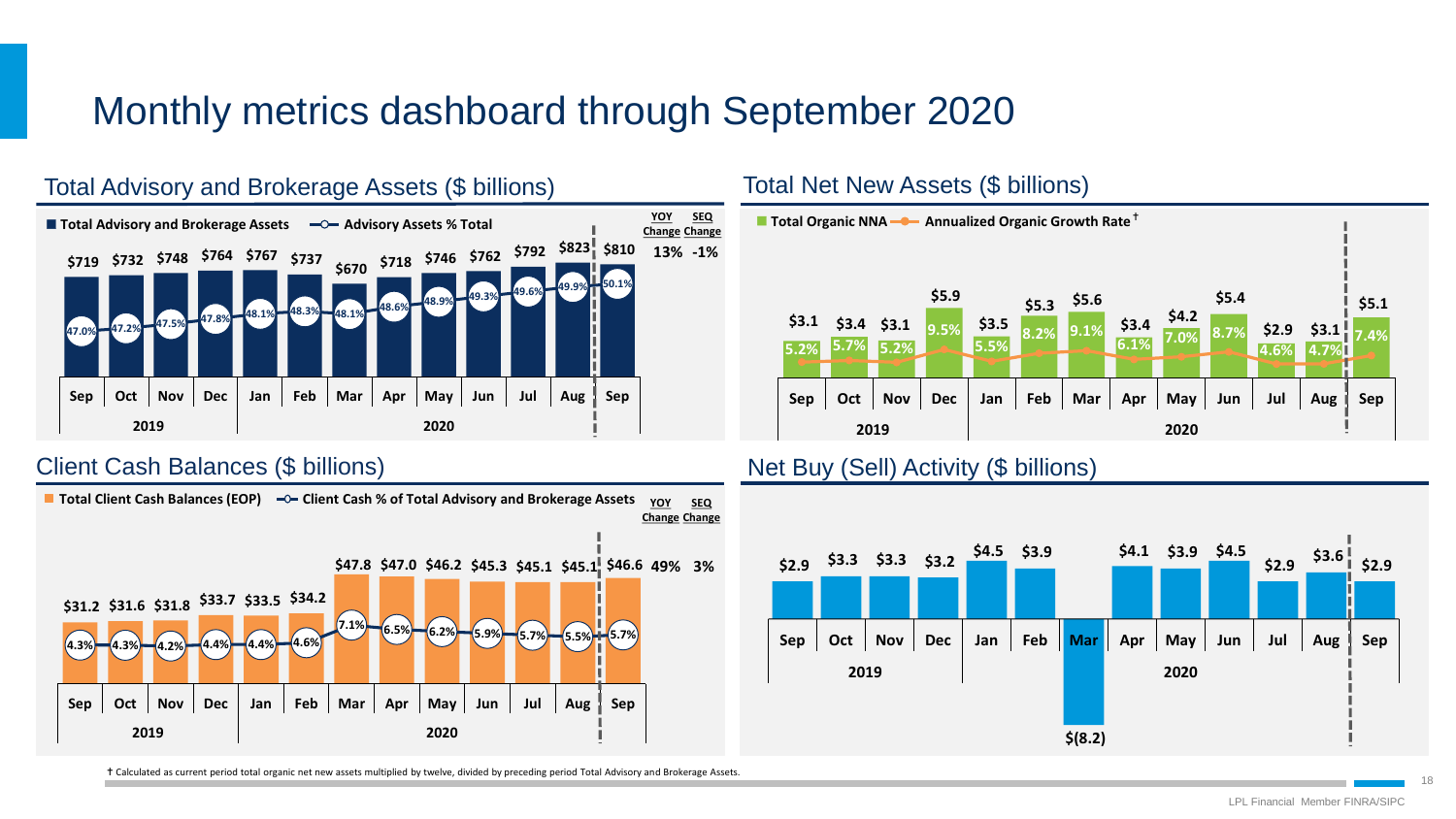# Monthly metrics dashboard through September 2020







### Client Cash Balances (\$ billions) Net Buy (Sell) Activity (\$ billions)



Calculated as current period total organic net new assets multiplied by twelve, divided by preceding period Total Advisory and Brokerage Assets.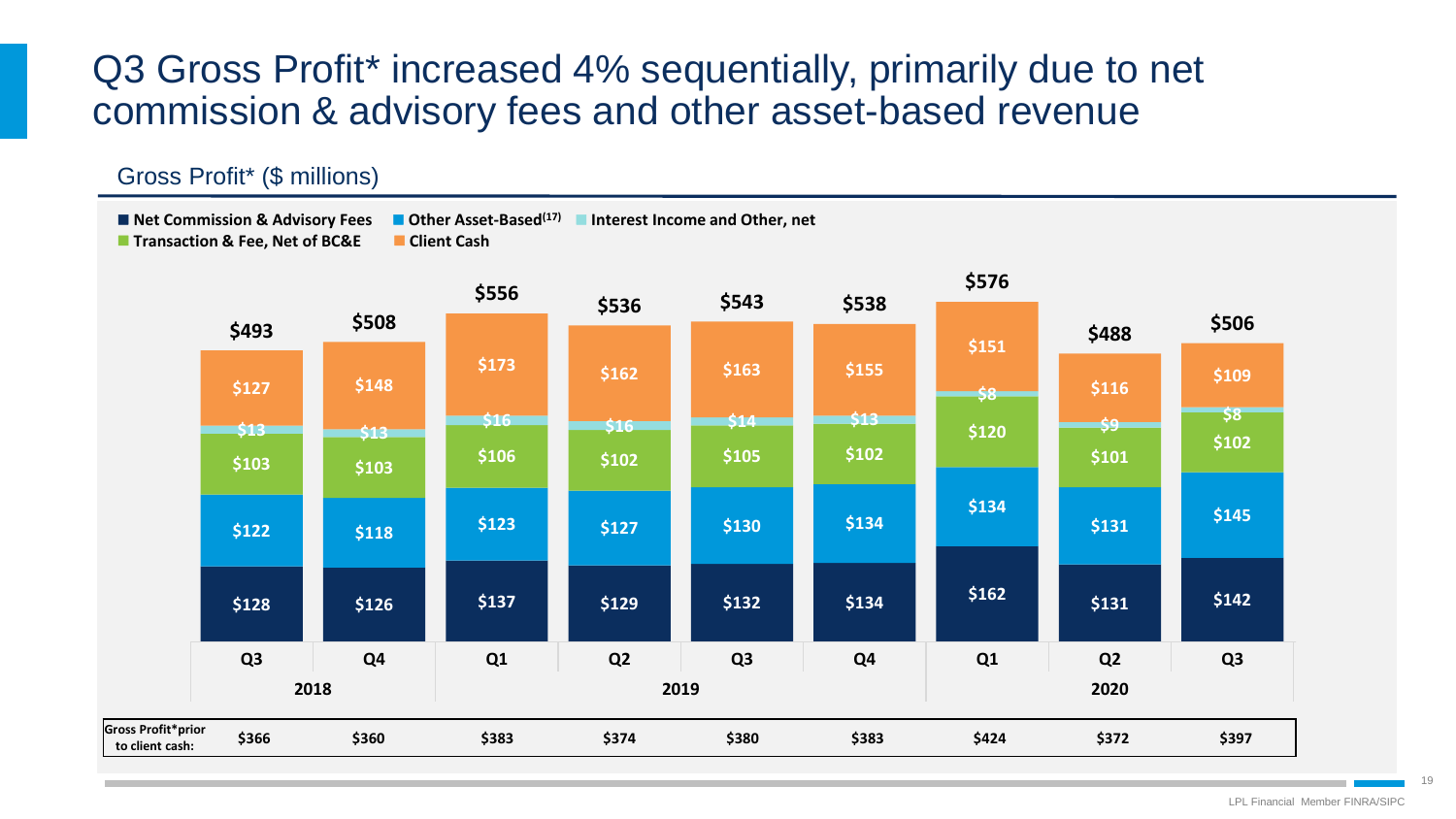## Q3 Gross Profit\* increased 4% sequentially, primarily due to net commission & advisory fees and other asset-based revenue

### Gross Profit\* (\$ millions)

■ **Transaction & Fee. Net of BC&E** ■ Client Cash

**Net Commission & Advisory Fees Other Asset-Based(17) Interest Income and Other, net** 

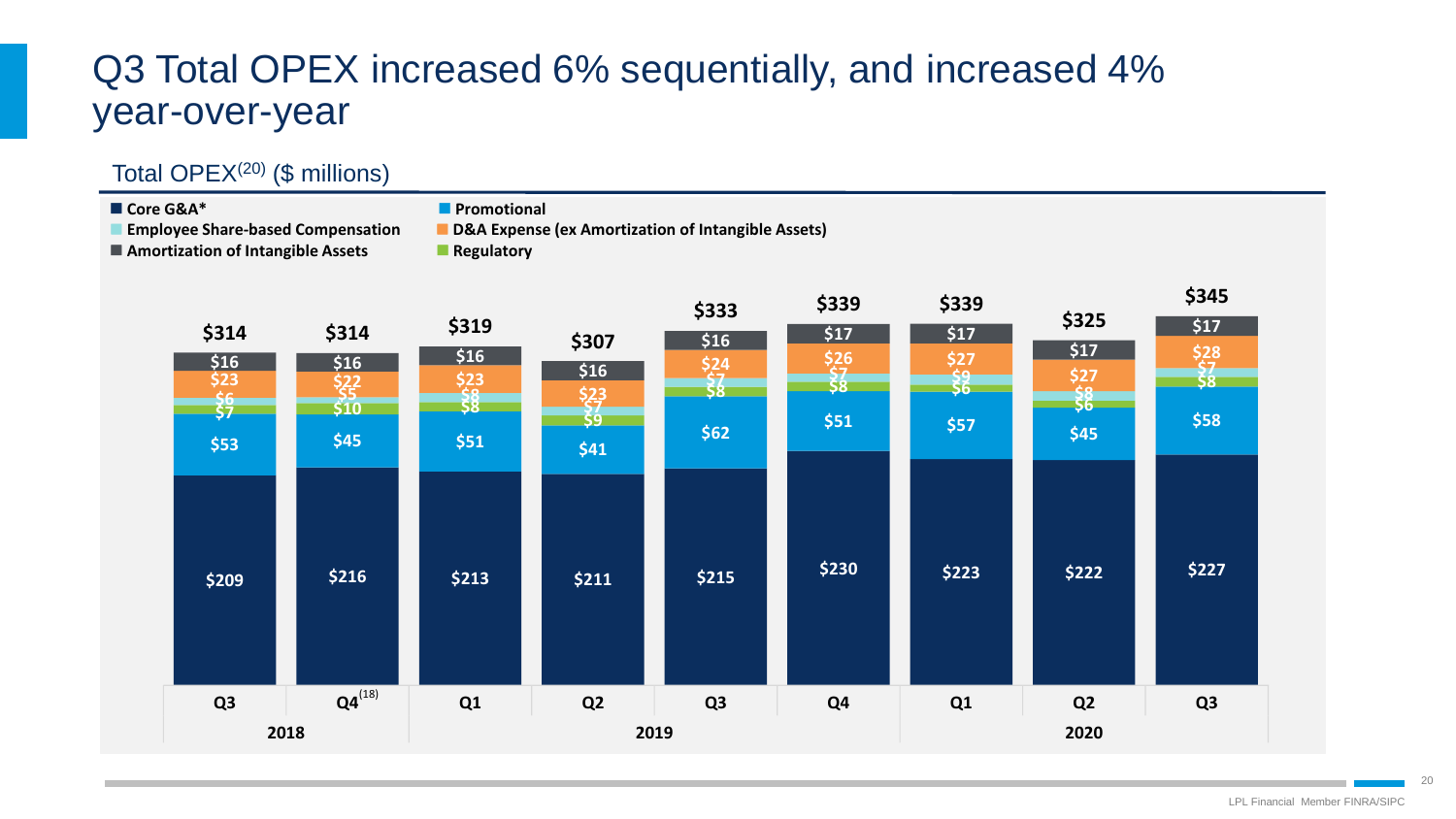# Q3 Total OPEX increased 6% sequentially, and increased 4% year-over-year

### Total OPE $X^{(20)}$  (\$ millions)

### ■ Core G&A<sup>\*</sup> **Promotional**

**Employee Share-based Compensation D&A Expense (ex Amortization of Intangible Assets)** 

**Amortization of Intangible Assets Regulatory** 

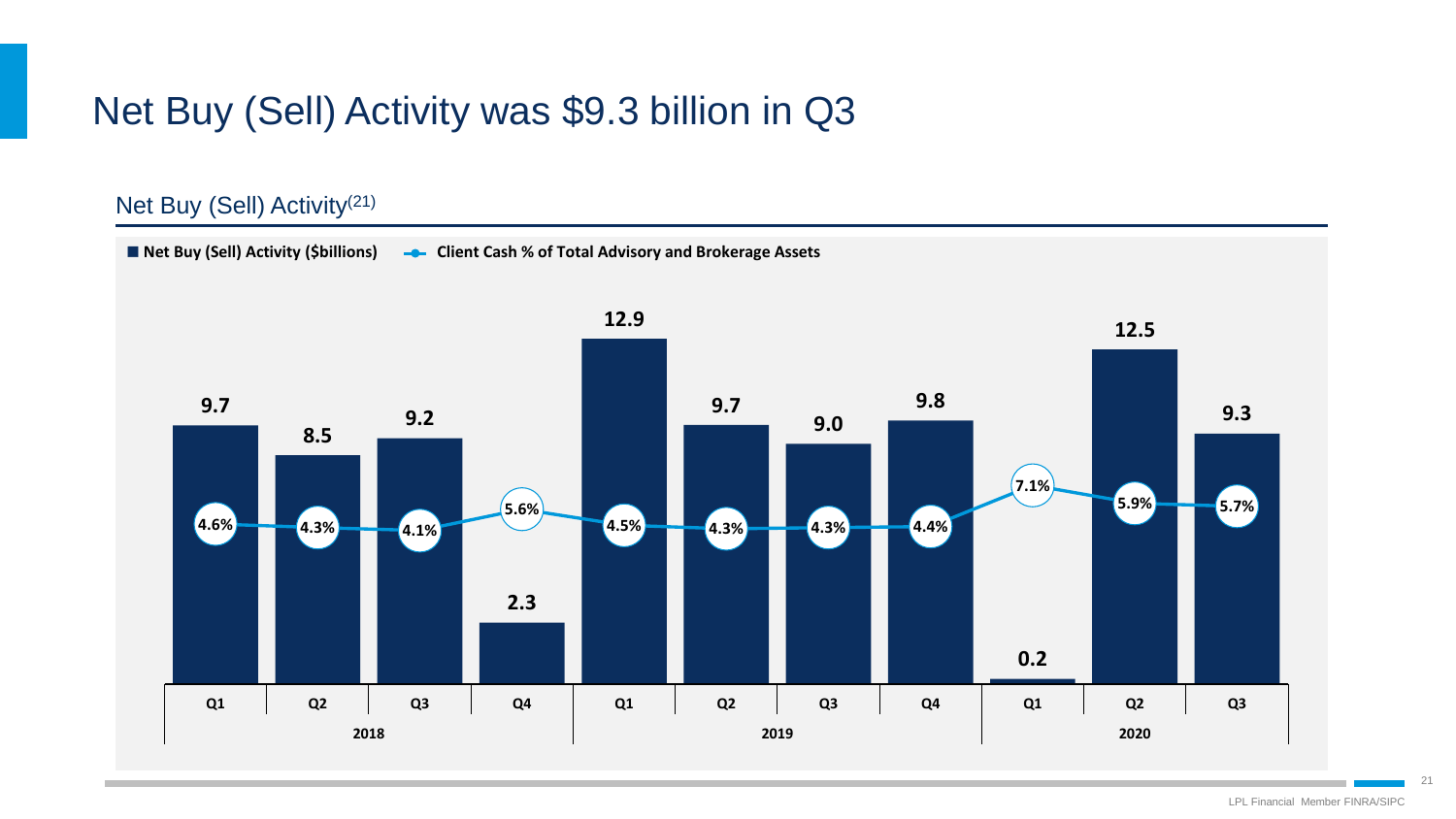# Net Buy (Sell) Activity was \$9.3 billion in Q3

### Net Buy (Sell) Activity(21)

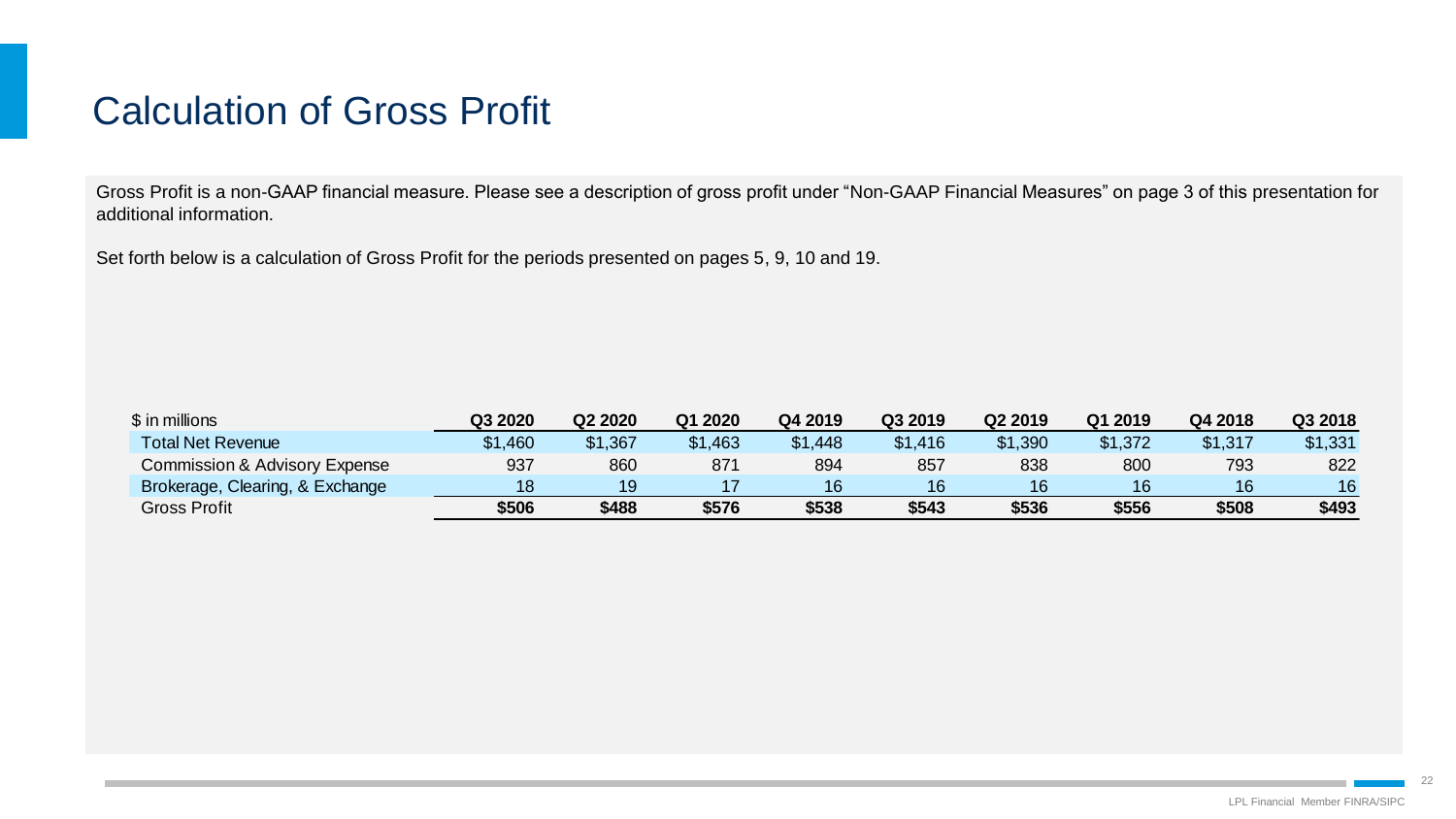# Calculation of Gross Profit

Gross Profit is a non-GAAP financial measure. Please see a description of gross profit under "Non-GAAP Financial Measures" on page 3 of this presentation for additional information.

Set forth below is a calculation of Gross Profit for the periods presented on pages 5, 9, 10 and 19.

| \$ in millions                  | Q3 2020 | Q2 2020 | Q1 2020 | Q4 2019 | Q3 2019 | Q2 2019 | Q1 2019 | Q4 2018 | Q3 2018 |
|---------------------------------|---------|---------|---------|---------|---------|---------|---------|---------|---------|
| <b>Total Net Revenue</b>        | \$1,460 | \$1,367 | \$1,463 | \$1,448 | \$1,416 | \$1,390 | \$1,372 | \$1,317 | \$1,331 |
| Commission & Advisory Expense   | 937     | 860     | 871     | 894     | 857     | 838     | 800     | 793     | 822     |
| Brokerage, Clearing, & Exchange | 18      | 19      |         |         | 16      | 16      | 16      | 16      | 16      |
| Gross Profit                    | \$506   | \$488   | \$576   | \$538   | \$543   | \$536   | \$556   | \$508   | \$493   |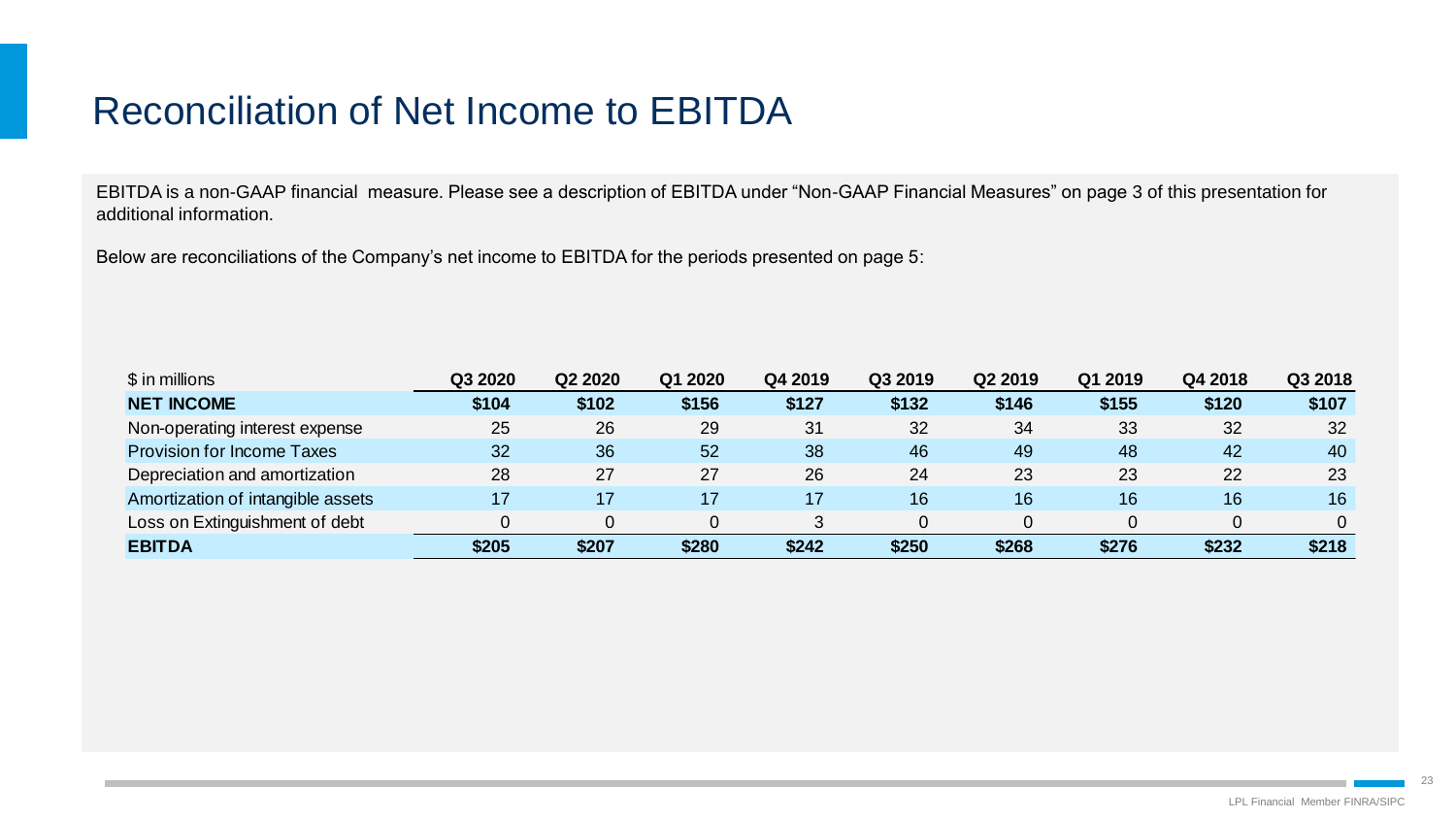# Reconciliation of Net Income to EBITDA

EBITDA is a non-GAAP financial measure. Please see a description of EBITDA under "Non-GAAP Financial Measures" on page 3 of this presentation for additional information.

Below are reconciliations of the Company's net income to EBITDA for the periods presented on page 5:

| \$ in millions                    | Q3 2020 | Q2 2020         | Q1 2020 | Q4 2019 | Q3 2019 | Q2 2019 | Q1 2019 | Q4 2018 | Q3 2018 |
|-----------------------------------|---------|-----------------|---------|---------|---------|---------|---------|---------|---------|
| <b>NET INCOME</b>                 | \$104   | \$102           | \$156   | \$127   | \$132   | \$146   | \$155   | \$120   | \$107   |
| Non-operating interest expense    | 25      | 26              | 29      | 31      | 32      | 34      | 33      | 32      | 32      |
| <b>Provision for Income Taxes</b> | 32      | 36 <sup>°</sup> | 52      | 38      | 46      | 49      | 48      | 42      | 40      |
| Depreciation and amortization     | 28      | 27              | 27      | 26      | 24      | 23      | 23      | 22      | 23      |
| Amortization of intangible assets |         | 17              | 17      | 17      | 16      | 16      | 16      | 16      | 16      |
| Loss on Extinguishment of debt    |         |                 |         | 3       | 0       |         |         |         |         |
| <b>EBITDA</b>                     | \$205   | \$207           | \$280   | \$242   | \$250   | \$268   | \$276   | \$232   | \$218   |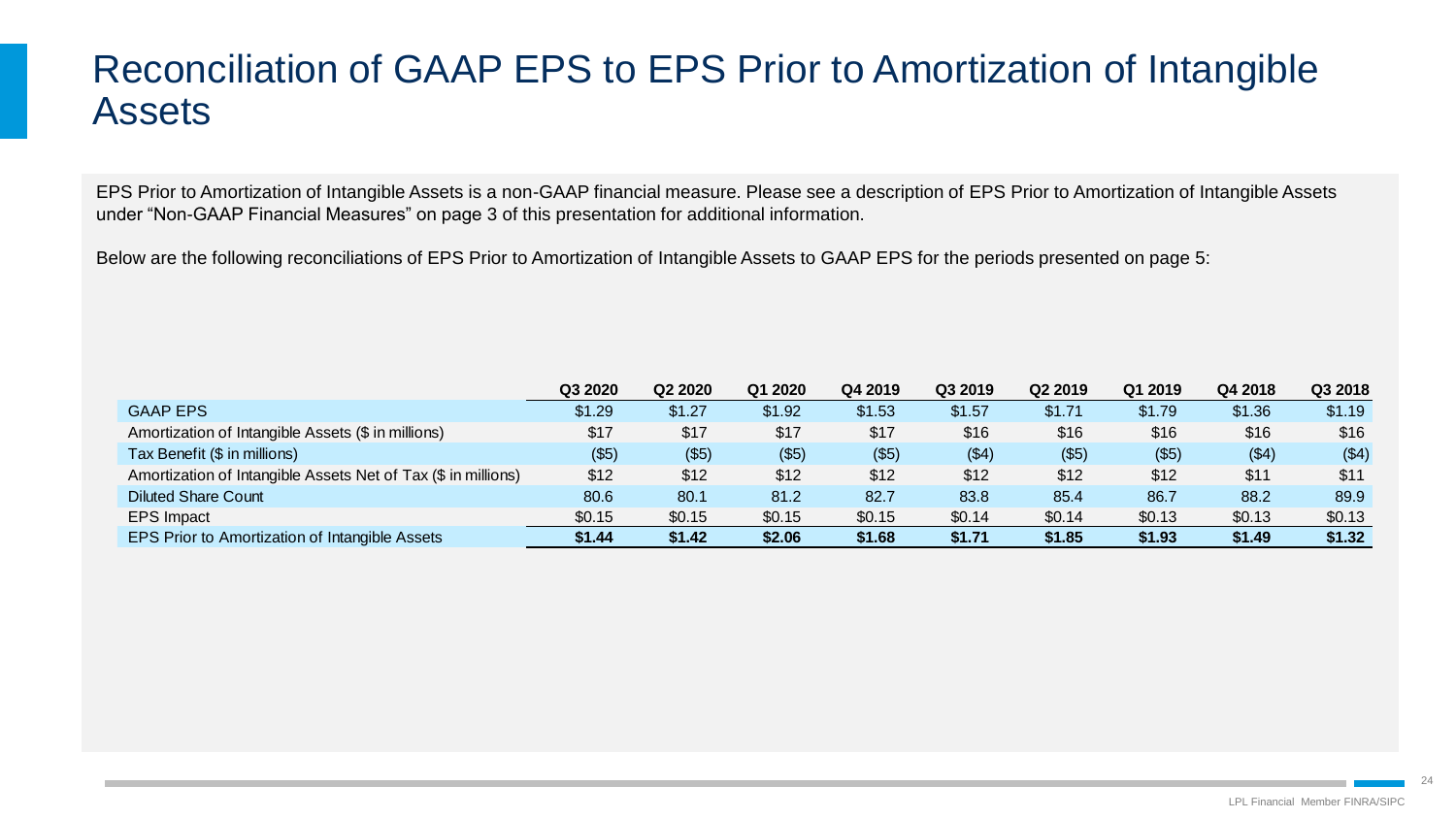## Reconciliation of GAAP EPS to EPS Prior to Amortization of Intangible Assets

EPS Prior to Amortization of Intangible Assets is a non-GAAP financial measure. Please see a description of EPS Prior to Amortization of Intangible Assets under "Non-GAAP Financial Measures" on page 3 of this presentation for additional information.

Below are the following reconciliations of EPS Prior to Amortization of Intangible Assets to GAAP EPS for the periods presented on page 5:

|                                                               | Q3 2020 | Q2 2020 | Q1 2020 | Q4 2019 | Q3 2019 | Q2 2019 | Q1 2019 | Q4 2018 | Q3 2018 |
|---------------------------------------------------------------|---------|---------|---------|---------|---------|---------|---------|---------|---------|
| <b>GAAP EPS</b>                                               | \$1.29  | \$1.27  | \$1.92  | \$1.53  | \$1.57  | \$1.71  | \$1.79  | \$1.36  | \$1.19  |
| Amortization of Intangible Assets (\$ in millions)            | \$17    | \$17    | \$17    | \$17    | \$16    | \$16    | \$16    | \$16    | \$16    |
| Tax Benefit (\$ in millions)                                  | ( \$5)  | (\$5)   | (\$5)   | (\$5)   | ( \$4)  | ( \$5)  | (\$5)   | ( \$4)  | ( \$4)  |
| Amortization of Intangible Assets Net of Tax (\$ in millions) | \$12    | \$12    | \$12    | \$12    | \$12    | \$12    | \$12    | \$11    | \$11    |
| <b>Diluted Share Count</b>                                    | 80.6    | 80.1    | 81.2    | 82.7    | 83.8    | 85.4    | 86.7    | 88.2    | 89.9    |
| <b>EPS Impact</b>                                             | \$0.15  | \$0.15  | \$0.15  | \$0.15  | \$0.14  | \$0.14  | \$0.13  | \$0.13  | \$0.13  |
| <b>EPS Prior to Amortization of Intangible Assets</b>         | \$1.44  | \$1.42  | \$2.06  | \$1.68  | \$1.71  | \$1.85  | \$1.93  | \$1.49  | \$1.32  |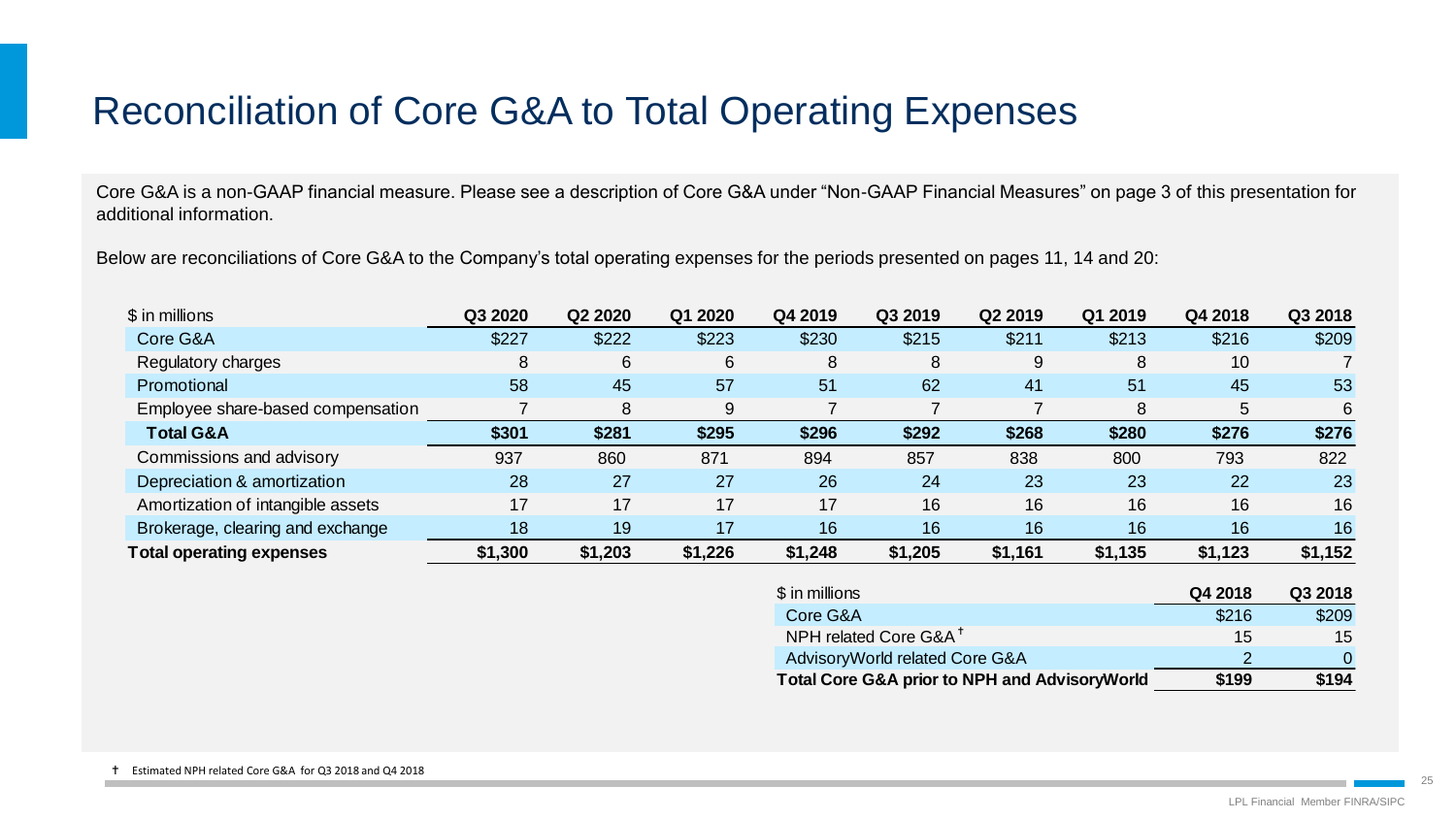# Reconciliation of Core G&A to Total Operating Expenses

Core G&A is a non-GAAP financial measure. Please see a description of Core G&A under "Non-GAAP Financial Measures" on page 3 of this presentation for additional information.

Below are reconciliations of Core G&A to the Company's total operating expenses for the periods presented on pages 11, 14 and 20:

| \$ in millions                    | Q3 2020 | Q2 2020 | Q1 2020 | Q4 2019 | Q3 2019 | Q2 2019 | Q1 2019 | Q4 2018     | Q3 2018 |
|-----------------------------------|---------|---------|---------|---------|---------|---------|---------|-------------|---------|
| Core G&A                          | \$227   | \$222   | \$223   | \$230   | \$215   | \$211   | \$213   | \$216       | \$209   |
| Regulatory charges                | 8       | 6       | 6       | 8       | 8       | 9       | 8       | 10          |         |
| Promotional                       | 58      | 45      | 57      | 51      | 62      | 41      | 51      | 45          | 53      |
| Employee share-based compensation |         | 8       | 9       |         |         |         | 8       | $\mathbf b$ | 6       |
| <b>Total G&amp;A</b>              | \$301   | \$281   | \$295   | \$296   | \$292   | \$268   | \$280   | \$276       | \$276   |
| Commissions and advisory          | 937     | 860     | 871     | 894     | 857     | 838     | 800     | 793         | 822     |
| Depreciation & amortization       | 28      | 27      | 27      | 26      | 24      | 23      | 23      | 22          | 23      |
| Amortization of intangible assets | 17      | 17      | 17      | 17      | 16      | 16      | 16      | 16          | 16      |
| Brokerage, clearing and exchange  | 18      | 19      | 17      | 16      | 16      | 16      | 16      | 16          | 16      |
| <b>Total operating expenses</b>   | \$1,300 | \$1,203 | \$1,226 | \$1,248 | \$1,205 | \$1,161 | \$1,135 | \$1,123     | \$1,152 |

| \$ in millions                                           | Q4 2018 | Q3 2018 |
|----------------------------------------------------------|---------|---------|
| Core G&A                                                 | \$216   | \$209   |
| NPH related Core G&A <sup>+</sup>                        | 15      | 15      |
| Advisory World related Core G&A                          |         | 0       |
| <b>Total Core G&amp;A prior to NPH and AdvisoryWorld</b> | \$199   | \$194   |